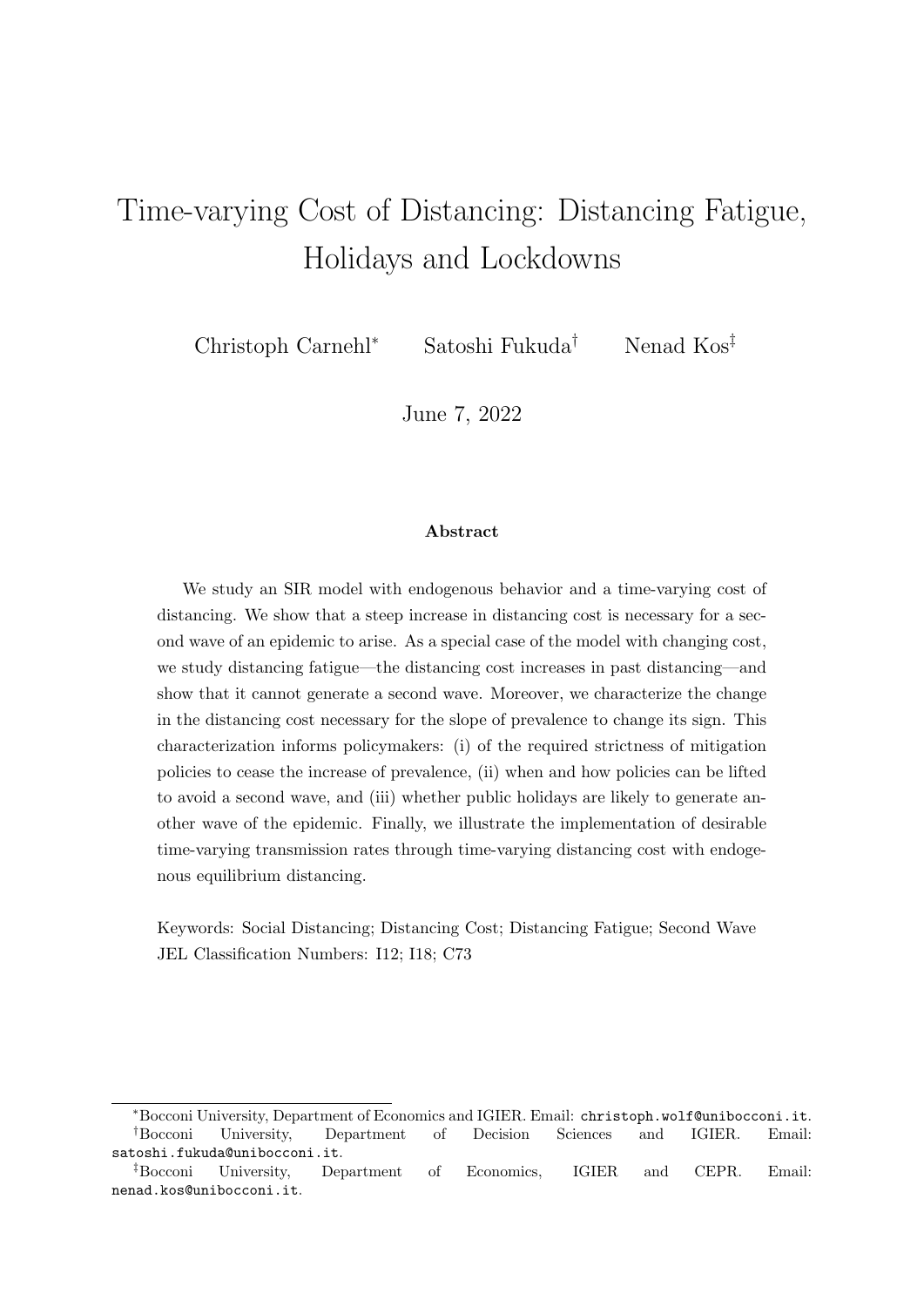# Time-varying Cost of Distancing: Distancing Fatigue, Holidays and Lockdowns

Christoph Carnehl<sup>∗</sup> Satoshi Fukuda† Nenad Kos‡

June 7, 2022

#### Abstract

We study an SIR model with endogenous behavior and a time-varying cost of distancing. We show that a steep increase in distancing cost is necessary for a second wave of an epidemic to arise. As a special case of the model with changing cost, we study distancing fatigue—the distancing cost increases in past distancing—and show that it cannot generate a second wave. Moreover, we characterize the change in the distancing cost necessary for the slope of prevalence to change its sign. This characterization informs policymakers: (i) of the required strictness of mitigation policies to cease the increase of prevalence, (ii) when and how policies can be lifted to avoid a second wave, and (iii) whether public holidays are likely to generate another wave of the epidemic. Finally, we illustrate the implementation of desirable time-varying transmission rates through time-varying distancing cost with endogenous equilibrium distancing.

Keywords: Social Distancing; Distancing Cost; Distancing Fatigue; Second Wave JEL Classification Numbers: I12; I18; C73

<sup>∗</sup>Bocconi University, Department of Economics and IGIER. Email: christoph.wolf@unibocconi.it. †Bocconi University, Department of Decision Sciences and IGIER. Email: satoshi.fukuda@unibocconi.it.

<sup>‡</sup>Bocconi University, Department of Economics, IGIER and CEPR. Email: nenad.kos@unibocconi.it.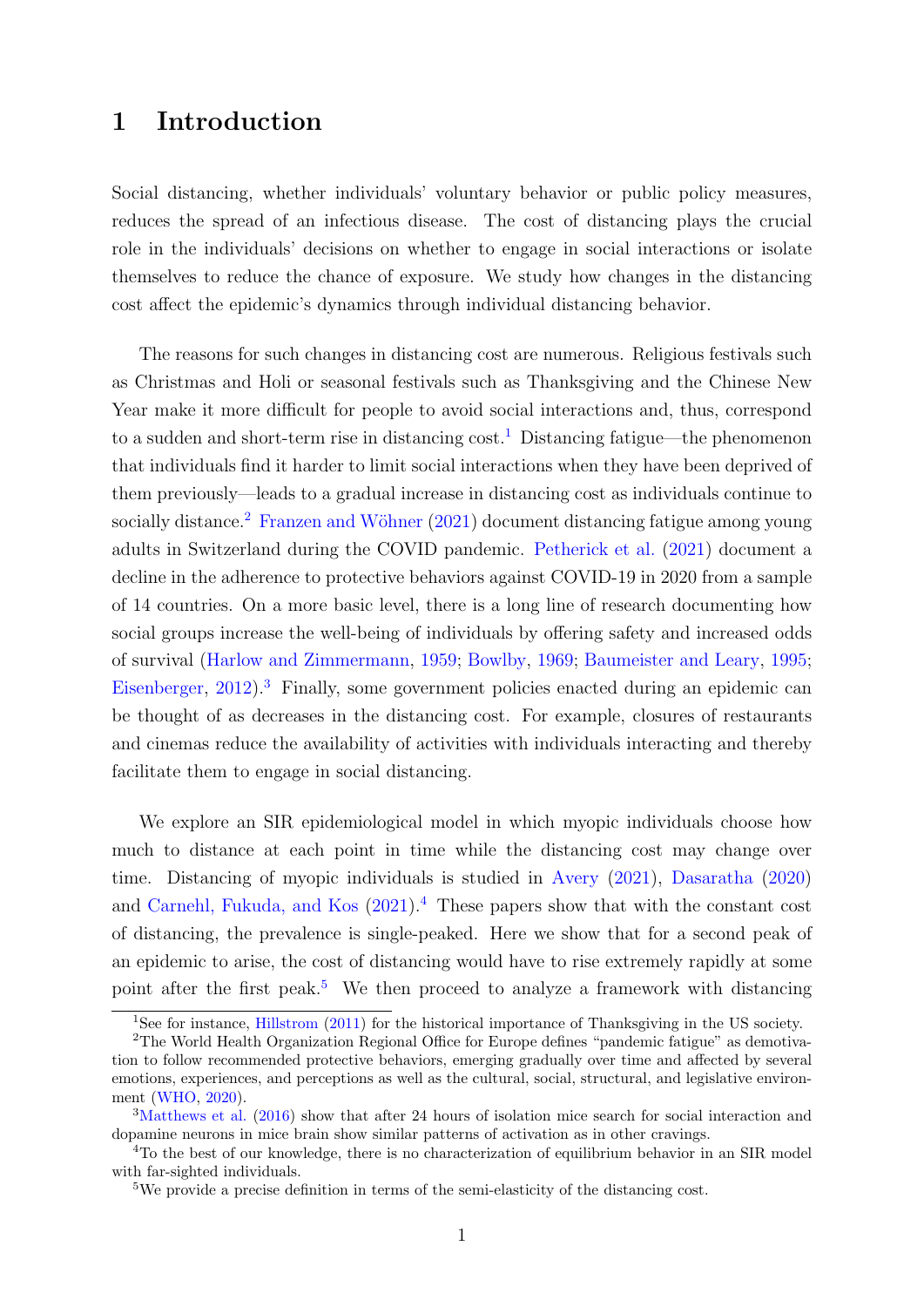## 1 Introduction

Social distancing, whether individuals' voluntary behavior or public policy measures, reduces the spread of an infectious disease. The cost of distancing plays the crucial role in the individuals' decisions on whether to engage in social interactions or isolate themselves to reduce the chance of exposure. We study how changes in the distancing cost affect the epidemic's dynamics through individual distancing behavior.

The reasons for such changes in distancing cost are numerous. Religious festivals such as Christmas and Holi or seasonal festivals such as Thanksgiving and the Chinese New Year make it more difficult for people to avoid social interactions and, thus, correspond to a sudden and short-term rise in distancing  $\text{cost}$ <sup>[1](#page-1-0)</sup>. Distancing fatigue—the phenomenon that individuals find it harder to limit social interactions when they have been deprived of them previously—leads to a gradual increase in distancing cost as individuals continue to socially distance.<sup>[2](#page-1-1)</sup> Franzen and Wöhner  $(2021)$  document distancing fatigue among young adults in Switzerland during the COVID pandemic. [Petherick et al.](#page-21-0) [\(2021\)](#page-21-0) document a decline in the adherence to protective behaviors against COVID-19 in 2020 from a sample of 14 countries. On a more basic level, there is a long line of research documenting how social groups increase the well-being of individuals by offering safety and increased odds of survival [\(Harlow and Zimmermann,](#page-21-1) [1959;](#page-21-1) [Bowlby,](#page-19-0) [1969;](#page-19-0) [Baumeister and Leary,](#page-19-1) [1995;](#page-19-1) [Eisenberger,](#page-20-1) [2012\)](#page-20-1).[3](#page-1-2) Finally, some government policies enacted during an epidemic can be thought of as decreases in the distancing cost. For example, closures of restaurants and cinemas reduce the availability of activities with individuals interacting and thereby facilitate them to engage in social distancing.

We explore an SIR epidemiological model in which myopic individuals choose how much to distance at each point in time while the distancing cost may change over time. Distancing of myopic individuals is studied in [Avery](#page-19-2) [\(2021\)](#page-19-2), [Dasaratha](#page-20-2) [\(2020\)](#page-20-2) and [Carnehl, Fukuda, and Kos](#page-19-3) [\(2021\)](#page-19-3).[4](#page-1-3) These papers show that with the constant cost of distancing, the prevalence is single-peaked. Here we show that for a second peak of an epidemic to arise, the cost of distancing would have to rise extremely rapidly at some point after the first peak.<sup>[5](#page-1-4)</sup> We then proceed to analyze a framework with distancing

<span id="page-1-1"></span><span id="page-1-0"></span><sup>&</sup>lt;sup>1</sup>See for instance, [Hillstrom](#page-21-2) [\(2011\)](#page-21-2) for the historical importance of Thanksgiving in the US society.

<sup>2</sup>The World Health Organization Regional Office for Europe defines "pandemic fatigue" as demotivation to follow recommended protective behaviors, emerging gradually over time and affected by several emotions, experiences, and perceptions as well as the cultural, social, structural, and legislative environment [\(WHO,](#page-22-0) [2020\)](#page-22-0).

<span id="page-1-2"></span><sup>&</sup>lt;sup>3</sup>[Matthews et al.](#page-21-3) [\(2016\)](#page-21-3) show that after 24 hours of isolation mice search for social interaction and dopamine neurons in mice brain show similar patterns of activation as in other cravings.

<span id="page-1-3"></span><sup>&</sup>lt;sup>4</sup>To the best of our knowledge, there is no characterization of equilibrium behavior in an SIR model with far-sighted individuals.

<span id="page-1-4"></span><sup>&</sup>lt;sup>5</sup>We provide a precise definition in terms of the semi-elasticity of the distancing cost.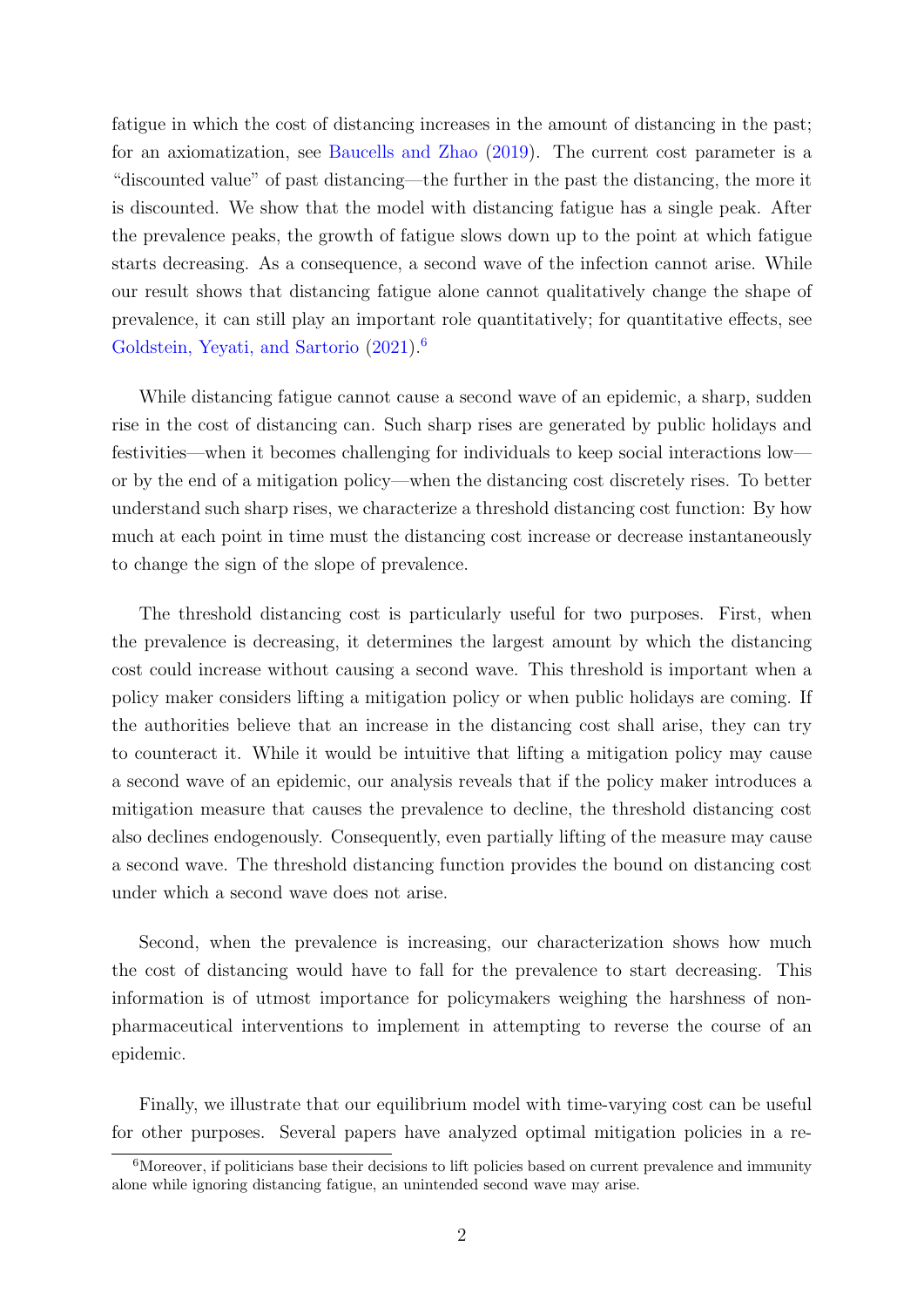fatigue in which the cost of distancing increases in the amount of distancing in the past; for an axiomatization, see [Baucells and Zhao](#page-19-4) [\(2019\)](#page-19-4). The current cost parameter is a "discounted value" of past distancing—the further in the past the distancing, the more it is discounted. We show that the model with distancing fatigue has a single peak. After the prevalence peaks, the growth of fatigue slows down up to the point at which fatigue starts decreasing. As a consequence, a second wave of the infection cannot arise. While our result shows that distancing fatigue alone cannot qualitatively change the shape of prevalence, it can still play an important role quantitatively; for quantitative effects, see [Goldstein, Yeyati, and Sartorio](#page-20-3)  $(2021)^6$  $(2021)^6$  $(2021)^6$ 

While distancing fatigue cannot cause a second wave of an epidemic, a sharp, sudden rise in the cost of distancing can. Such sharp rises are generated by public holidays and festivities—when it becomes challenging for individuals to keep social interactions low or by the end of a mitigation policy—when the distancing cost discretely rises. To better understand such sharp rises, we characterize a threshold distancing cost function: By how much at each point in time must the distancing cost increase or decrease instantaneously to change the sign of the slope of prevalence.

The threshold distancing cost is particularly useful for two purposes. First, when the prevalence is decreasing, it determines the largest amount by which the distancing cost could increase without causing a second wave. This threshold is important when a policy maker considers lifting a mitigation policy or when public holidays are coming. If the authorities believe that an increase in the distancing cost shall arise, they can try to counteract it. While it would be intuitive that lifting a mitigation policy may cause a second wave of an epidemic, our analysis reveals that if the policy maker introduces a mitigation measure that causes the prevalence to decline, the threshold distancing cost also declines endogenously. Consequently, even partially lifting of the measure may cause a second wave. The threshold distancing function provides the bound on distancing cost under which a second wave does not arise.

Second, when the prevalence is increasing, our characterization shows how much the cost of distancing would have to fall for the prevalence to start decreasing. This information is of utmost importance for policymakers weighing the harshness of nonpharmaceutical interventions to implement in attempting to reverse the course of an epidemic.

Finally, we illustrate that our equilibrium model with time-varying cost can be useful for other purposes. Several papers have analyzed optimal mitigation policies in a re-

<span id="page-2-0"></span> $6$ Moreover, if politicians base their decisions to lift policies based on current prevalence and immunity alone while ignoring distancing fatigue, an unintended second wave may arise.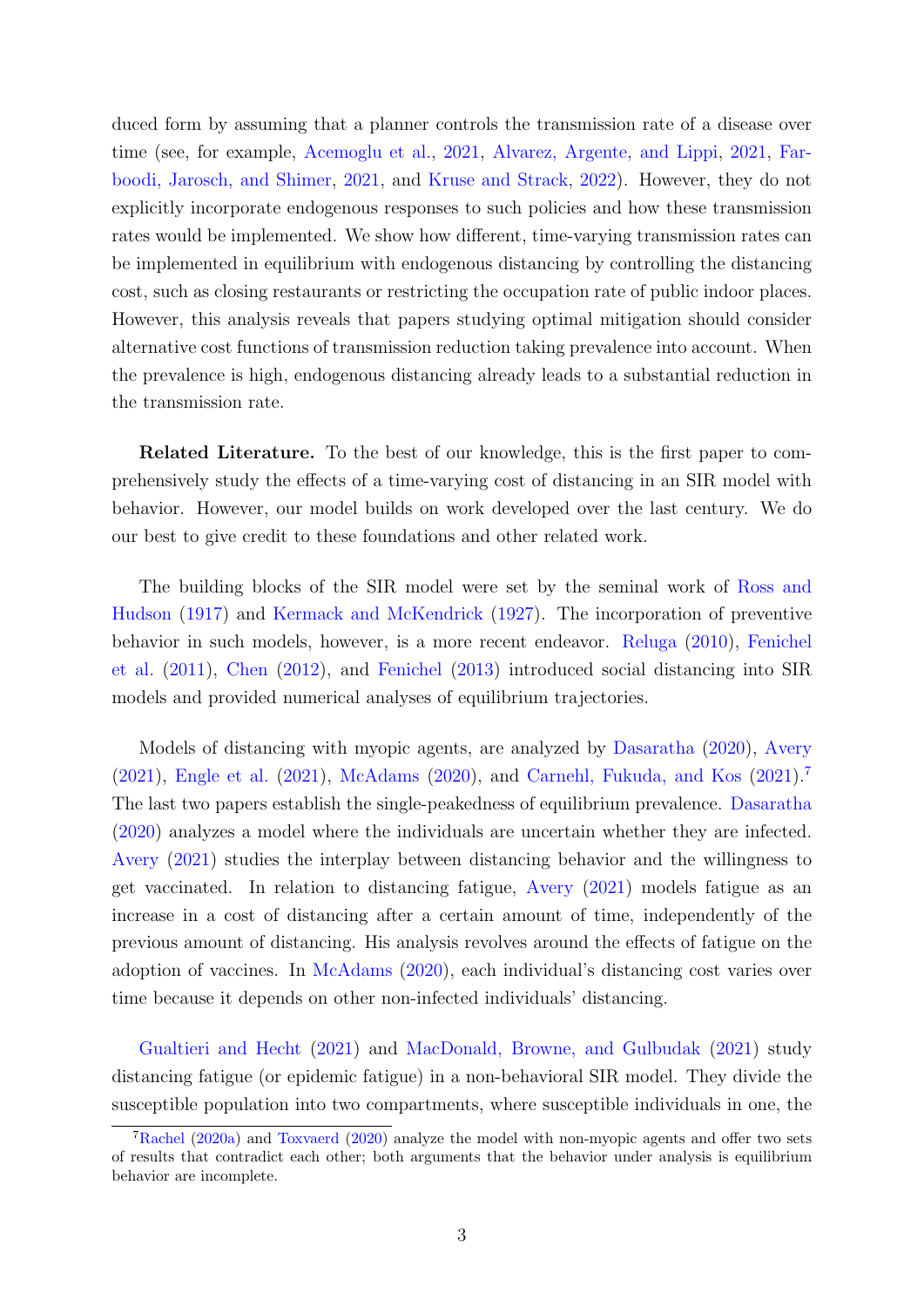duced form by assuming that a planner controls the transmission rate of a disease over time (see, for example, [Acemoglu et al.,](#page-19-5) [2021,](#page-19-5) [Alvarez, Argente, and Lippi,](#page-19-6) [2021,](#page-19-6) [Far](#page-20-4)[boodi, Jarosch, and Shimer,](#page-20-4) [2021,](#page-20-4) and [Kruse and Strack,](#page-21-4) [2022\)](#page-21-4). However, they do not explicitly incorporate endogenous responses to such policies and how these transmission rates would be implemented. We show how different, time-varying transmission rates can be implemented in equilibrium with endogenous distancing by controlling the distancing cost, such as closing restaurants or restricting the occupation rate of public indoor places. However, this analysis reveals that papers studying optimal mitigation should consider alternative cost functions of transmission reduction taking prevalence into account. When the prevalence is high, endogenous distancing already leads to a substantial reduction in the transmission rate.

Related Literature. To the best of our knowledge, this is the first paper to comprehensively study the effects of a time-varying cost of distancing in an SIR model with behavior. However, our model builds on work developed over the last century. We do our best to give credit to these foundations and other related work.

The building blocks of the SIR model were set by the seminal work of [Ross and](#page-22-1) [Hudson](#page-22-1) [\(1917\)](#page-22-1) and [Kermack and McKendrick](#page-21-5) [\(1927\)](#page-21-5). The incorporation of preventive behavior in such models, however, is a more recent endeavor. [Reluga](#page-22-2) [\(2010\)](#page-22-2), [Fenichel](#page-20-5) [et al.](#page-20-5) [\(2011\)](#page-20-5), [Chen](#page-20-6) [\(2012\)](#page-20-6), and [Fenichel](#page-20-7) [\(2013\)](#page-20-7) introduced social distancing into SIR models and provided numerical analyses of equilibrium trajectories.

Models of distancing with myopic agents, are analyzed by [Dasaratha](#page-20-2) [\(2020\)](#page-20-2), [Avery](#page-19-2) [\(2021\)](#page-19-2), [Engle et al.](#page-20-8) [\(2021\)](#page-20-8), [McAdams](#page-21-6) [\(2020\)](#page-21-6), and [Carnehl, Fukuda, and Kos](#page-19-3) [\(2021\)](#page-19-3).[7](#page-3-0) The last two papers establish the single-peakedness of equilibrium prevalence. [Dasaratha](#page-20-2) [\(2020\)](#page-20-2) analyzes a model where the individuals are uncertain whether they are infected. [Avery](#page-19-2) [\(2021\)](#page-19-2) studies the interplay between distancing behavior and the willingness to get vaccinated. In relation to distancing fatigue, [Avery](#page-19-2) [\(2021\)](#page-19-2) models fatigue as an increase in a cost of distancing after a certain amount of time, independently of the previous amount of distancing. His analysis revolves around the effects of fatigue on the adoption of vaccines. In [McAdams](#page-21-6) [\(2020\)](#page-21-6), each individual's distancing cost varies over time because it depends on other non-infected individuals' distancing.

[Gualtieri and Hecht](#page-20-9) [\(2021\)](#page-20-9) and [MacDonald, Browne, and Gulbudak](#page-21-7) [\(2021\)](#page-21-7) study distancing fatigue (or epidemic fatigue) in a non-behavioral SIR model. They divide the susceptible population into two compartments, where susceptible individuals in one, the

<span id="page-3-0"></span><sup>7</sup>[Rachel](#page-22-3) [\(2020a\)](#page-22-3) and [Toxvaerd](#page-22-4) [\(2020\)](#page-22-4) analyze the model with non-myopic agents and offer two sets of results that contradict each other; both arguments that the behavior under analysis is equilibrium behavior are incomplete.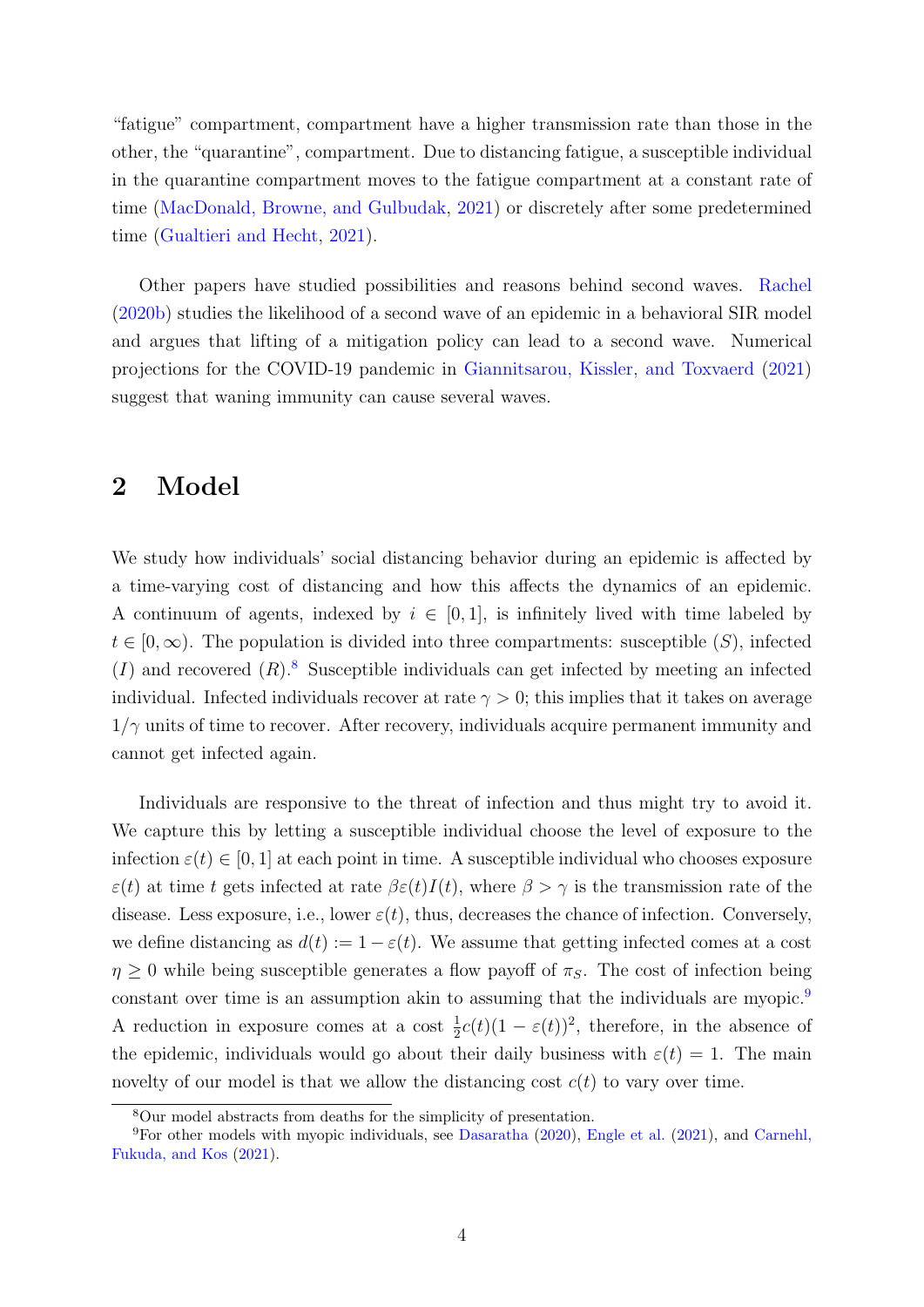"fatigue" compartment, compartment have a higher transmission rate than those in the other, the "quarantine", compartment. Due to distancing fatigue, a susceptible individual in the quarantine compartment moves to the fatigue compartment at a constant rate of time [\(MacDonald, Browne, and Gulbudak,](#page-21-7) [2021\)](#page-21-7) or discretely after some predetermined time [\(Gualtieri and Hecht,](#page-20-9) [2021\)](#page-20-9).

Other papers have studied possibilities and reasons behind second waves. [Rachel](#page-22-5) [\(2020b\)](#page-22-5) studies the likelihood of a second wave of an epidemic in a behavioral SIR model and argues that lifting of a mitigation policy can lead to a second wave. Numerical projections for the COVID-19 pandemic in [Giannitsarou, Kissler, and Toxvaerd](#page-20-10) [\(2021\)](#page-20-10) suggest that waning immunity can cause several waves.

### 2 Model

We study how individuals' social distancing behavior during an epidemic is affected by a time-varying cost of distancing and how this affects the dynamics of an epidemic. A continuum of agents, indexed by  $i \in [0,1]$ , is infinitely lived with time labeled by  $t \in [0,\infty)$ . The population is divided into three compartments: susceptible  $(S)$ , infected  $(I)$  and recovered  $(R)$ .<sup>[8](#page-4-0)</sup> Susceptible individuals can get infected by meeting an infected individual. Infected individuals recover at rate  $\gamma > 0$ ; this implies that it takes on average  $1/\gamma$  units of time to recover. After recovery, individuals acquire permanent immunity and cannot get infected again.

Individuals are responsive to the threat of infection and thus might try to avoid it. We capture this by letting a susceptible individual choose the level of exposure to the infection  $\varepsilon(t) \in [0, 1]$  at each point in time. A susceptible individual who chooses exposure  $\varepsilon(t)$  at time t gets infected at rate  $\beta\varepsilon(t)I(t)$ , where  $\beta > \gamma$  is the transmission rate of the disease. Less exposure, i.e., lower  $\varepsilon(t)$ , thus, decreases the chance of infection. Conversely, we define distancing as  $d(t) := 1 - \varepsilon(t)$ . We assume that getting infected comes at a cost  $\eta \geq 0$  while being susceptible generates a flow payoff of  $\pi_S$ . The cost of infection being constant over time is an assumption akin to assuming that the individuals are myopic.<sup>[9](#page-4-1)</sup> A reduction in exposure comes at a cost  $\frac{1}{2}c(t)(1-\varepsilon(t))^2$ , therefore, in the absence of the epidemic, individuals would go about their daily business with  $\varepsilon(t) = 1$ . The main novelty of our model is that we allow the distancing cost  $c(t)$  to vary over time.

<span id="page-4-1"></span><span id="page-4-0"></span><sup>8</sup>Our model abstracts from deaths for the simplicity of presentation.

<sup>&</sup>lt;sup>9</sup>For other models with myopic individuals, see [Dasaratha](#page-20-2) [\(2020\)](#page-20-2), [Engle et al.](#page-20-8) [\(2021\)](#page-20-8), and [Carnehl,](#page-19-3) [Fukuda, and Kos](#page-19-3) [\(2021\)](#page-19-3).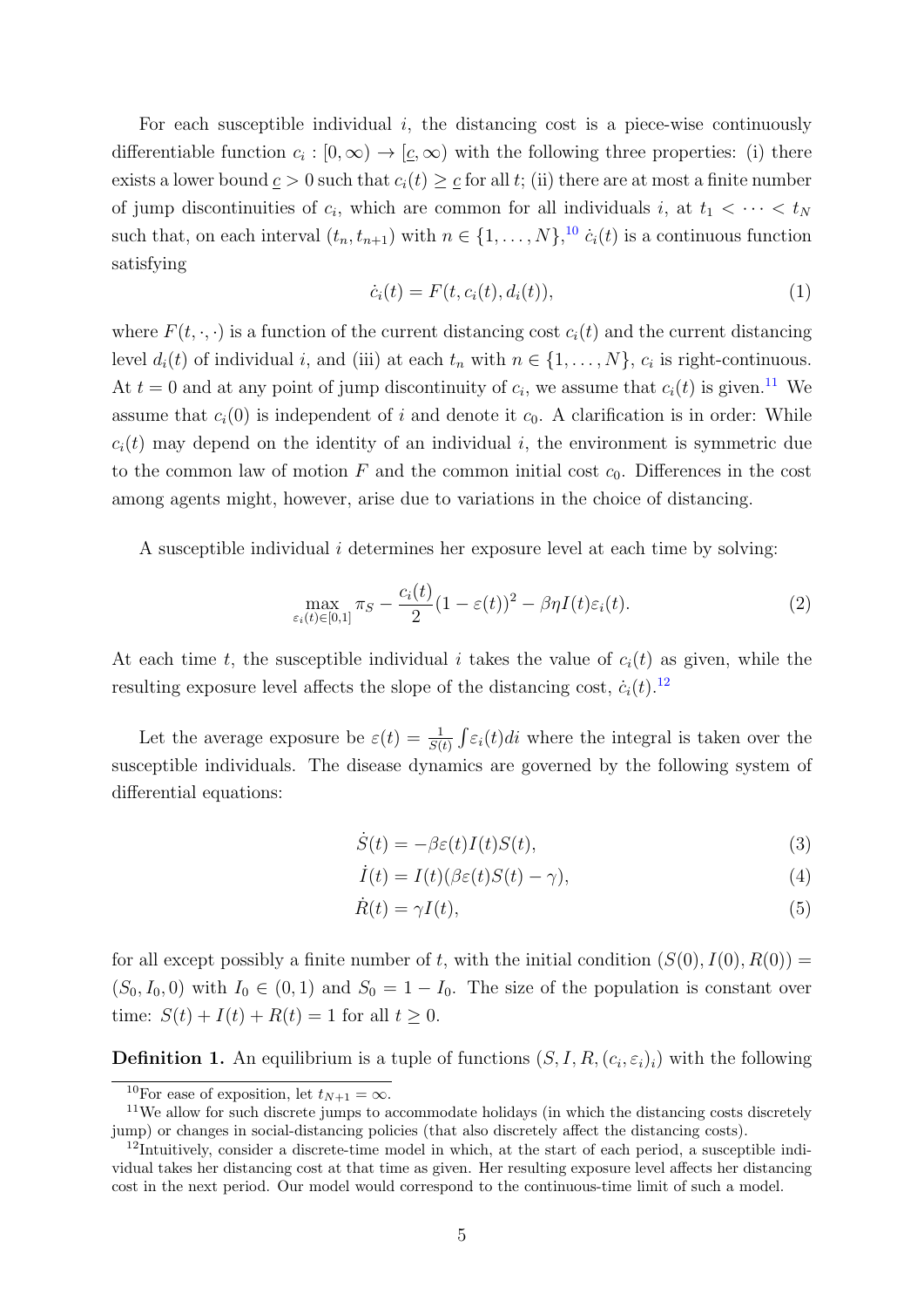For each susceptible individual  $i$ , the distancing cost is a piece-wise continuously differentiable function  $c_i : [0, \infty) \to [\underline{c}, \infty)$  with the following three properties: (i) there exists a lower bound  $c > 0$  such that  $c_i(t) \geq c$  for all t; (ii) there are at most a finite number of jump discontinuities of  $c_i$ , which are common for all individuals i, at  $t_1 < \cdots < t_N$ such that, on each interval  $(t_n, t_{n+1})$  with  $n \in \{1, ..., N\}$ , <sup>[10](#page-5-0)</sup>  $\dot{c}_i(t)$  is a continuous function satisfying

<span id="page-5-6"></span>
$$
\dot{c}_i(t) = F(t, c_i(t), d_i(t)),
$$
\n(1)

<span id="page-5-7"></span>where  $F(t, \cdot, \cdot)$  is a function of the current distancing cost  $c_i(t)$  and the current distancing level  $d_i(t)$  of individual i, and (iii) at each  $t_n$  with  $n \in \{1, \ldots, N\}$ ,  $c_i$  is right-continuous. At  $t = 0$  and at any point of jump discontinuity of  $c_i$ , we assume that  $c_i(t)$  is given.<sup>[11](#page-5-1)</sup> We assume that  $c_i(0)$  is independent of i and denote it  $c_0$ . A clarification is in order: While  $c_i(t)$  may depend on the identity of an individual i, the environment is symmetric due to the common law of motion F and the common initial cost  $c_0$ . Differences in the cost among agents might, however, arise due to variations in the choice of distancing.

A susceptible individual i determines her exposure level at each time by solving:

$$
\max_{\varepsilon_i(t)\in[0,1]} \pi_S - \frac{c_i(t)}{2}(1-\varepsilon(t))^2 - \beta \eta I(t)\varepsilon_i(t). \tag{2}
$$

At each time t, the susceptible individual i takes the value of  $c_i(t)$  as given, while the resulting exposure level affects the slope of the distancing cost,  $\dot{c}_i(t)$ .<sup>[12](#page-5-2)</sup>

Let the average exposure be  $\varepsilon(t) = \frac{1}{S(t)} \int \varepsilon_i(t) dt$  where the integral is taken over the susceptible individuals. The disease dynamics are governed by the following system of differential equations:

<span id="page-5-3"></span>
$$
\dot{S}(t) = -\beta \varepsilon(t) I(t) S(t),\tag{3}
$$

<span id="page-5-5"></span><span id="page-5-4"></span>
$$
\dot{I}(t) = I(t)(\beta \varepsilon(t)S(t) - \gamma),\tag{4}
$$

$$
\dot{R}(t) = \gamma I(t),\tag{5}
$$

for all except possibly a finite number of t, with the initial condition  $(S(0), I(0), R(0)) =$  $(S_0, I_0, 0)$  with  $I_0 \in (0, 1)$  and  $S_0 = 1 - I_0$ . The size of the population is constant over time:  $S(t) + I(t) + R(t) = 1$  for all  $t \ge 0$ .

**Definition 1.** An equilibrium is a tuple of functions  $(S, I, R, (c_i, \varepsilon_i)_i)$  with the following

<span id="page-5-1"></span><span id="page-5-0"></span><sup>&</sup>lt;sup>10</sup>For ease of exposition, let  $t_{N+1} = \infty$ .

<sup>&</sup>lt;sup>11</sup>We allow for such discrete jumps to accommodate holidays (in which the distancing costs discretely jump) or changes in social-distancing policies (that also discretely affect the distancing costs).

<span id="page-5-2"></span><sup>12</sup>Intuitively, consider a discrete-time model in which, at the start of each period, a susceptible individual takes her distancing cost at that time as given. Her resulting exposure level affects her distancing cost in the next period. Our model would correspond to the continuous-time limit of such a model.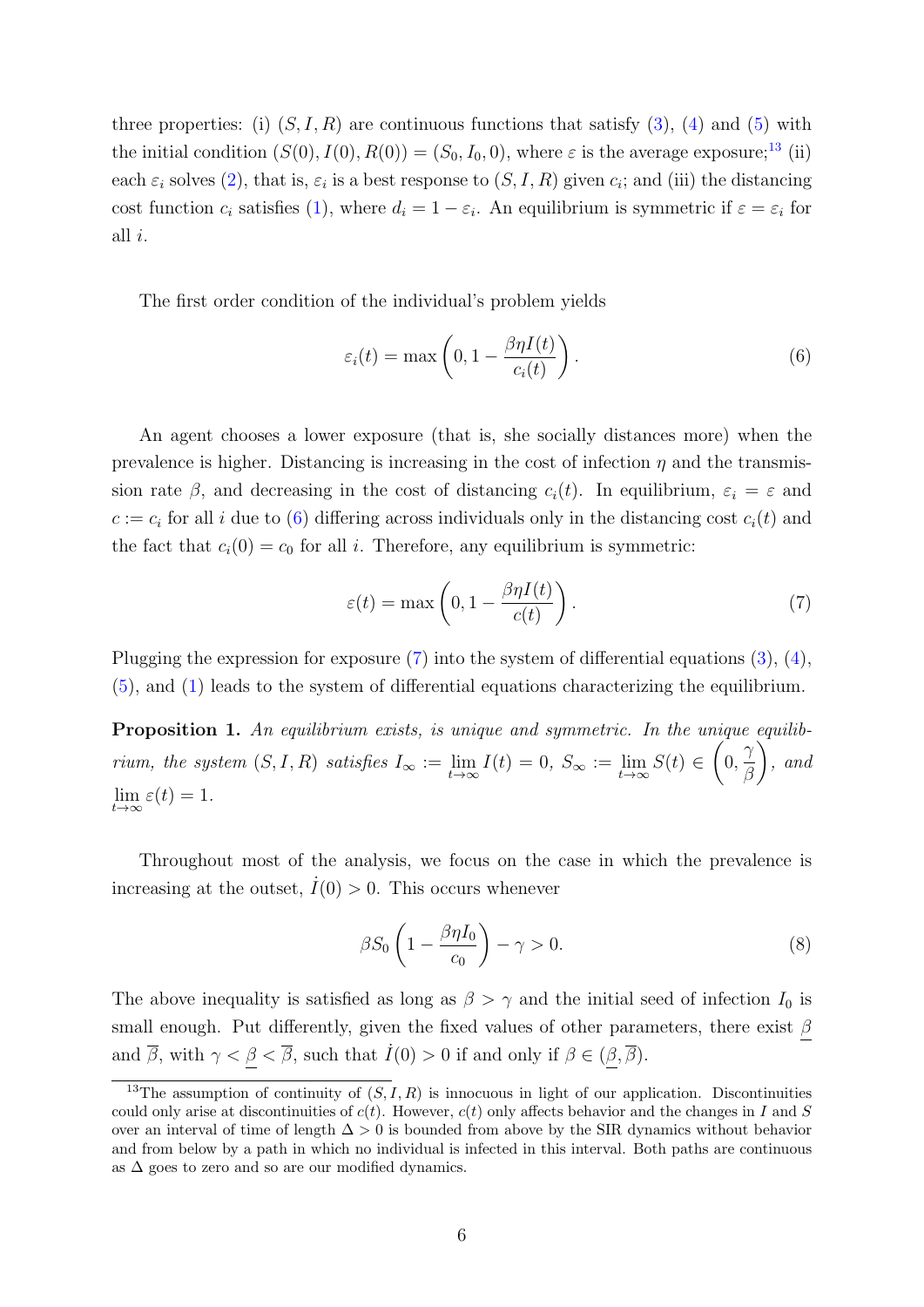three properties: (i)  $(S, I, R)$  are continuous functions that satisfy  $(3)$ ,  $(4)$  and  $(5)$  with the initial condition  $(S(0), I(0), R(0)) = (S_0, I_0, 0)$ , where  $\varepsilon$  is the average exposure;<sup>[13](#page-6-0)</sup> (ii) each  $\varepsilon_i$  solves [\(2\)](#page-5-6), that is,  $\varepsilon_i$  is a best response to  $(S, I, R)$  given  $c_i$ ; and (iii) the distancing cost function  $c_i$  satisfies [\(1\)](#page-5-7), where  $d_i = 1 - \varepsilon_i$ . An equilibrium is symmetric if  $\varepsilon = \varepsilon_i$  for all i.

The first order condition of the individual's problem yields

<span id="page-6-1"></span>
$$
\varepsilon_i(t) = \max\left(0, 1 - \frac{\beta \eta I(t)}{c_i(t)}\right). \tag{6}
$$

An agent chooses a lower exposure (that is, she socially distances more) when the prevalence is higher. Distancing is increasing in the cost of infection  $\eta$  and the transmission rate  $\beta$ , and decreasing in the cost of distancing  $c_i(t)$ . In equilibrium,  $\varepsilon_i = \varepsilon$  and  $c := c_i$  for all i due to [\(6\)](#page-6-1) differing across individuals only in the distancing cost  $c_i(t)$  and the fact that  $c_i(0) = c_0$  for all i. Therefore, any equilibrium is symmetric:

<span id="page-6-2"></span>
$$
\varepsilon(t) = \max\left(0, 1 - \frac{\beta \eta I(t)}{c(t)}\right). \tag{7}
$$

Plugging the expression for exposure [\(7\)](#page-6-2) into the system of differential equations [\(3\)](#page-5-3), [\(4\)](#page-5-4), [\(5\)](#page-5-5), and [\(1\)](#page-5-7) leads to the system of differential equations characterizing the equilibrium.

<span id="page-6-4"></span>Proposition 1. An equilibrium exists, is unique and symmetric. In the unique equilibrium, the system  $(S, I, R)$  satisfies  $I_{\infty} := \lim_{t \to \infty} I(t) = 0$ ,  $S_{\infty} := \lim_{t \to \infty} S(t) \in$  $\sqrt{ }$ 0,  $\gamma$ β  $\setminus$ , and  $\lim_{t\to\infty}\varepsilon(t)=1.$ 

Throughout most of the analysis, we focus on the case in which the prevalence is increasing at the outset,  $\dot{I}(0) > 0$ . This occurs whenever

<span id="page-6-3"></span>
$$
\beta S_0 \left( 1 - \frac{\beta \eta I_0}{c_0} \right) - \gamma > 0. \tag{8}
$$

The above inequality is satisfied as long as  $\beta > \gamma$  and the initial seed of infection  $I_0$  is small enough. Put differently, given the fixed values of other parameters, there exist  $\beta$ and  $\overline{\beta}$ , with  $\gamma < \underline{\beta} < \overline{\beta}$ , such that  $\dot{I}(0) > 0$  if and only if  $\beta \in (\underline{\beta}, \overline{\beta})$ .

<span id="page-6-0"></span><sup>&</sup>lt;sup>13</sup>The assumption of continuity of  $(S, I, R)$  is innocuous in light of our application. Discontinuities could only arise at discontinuities of  $c(t)$ . However,  $c(t)$  only affects behavior and the changes in I and S over an interval of time of length  $\Delta > 0$  is bounded from above by the SIR dynamics without behavior and from below by a path in which no individual is infected in this interval. Both paths are continuous as  $\Delta$  goes to zero and so are our modified dynamics.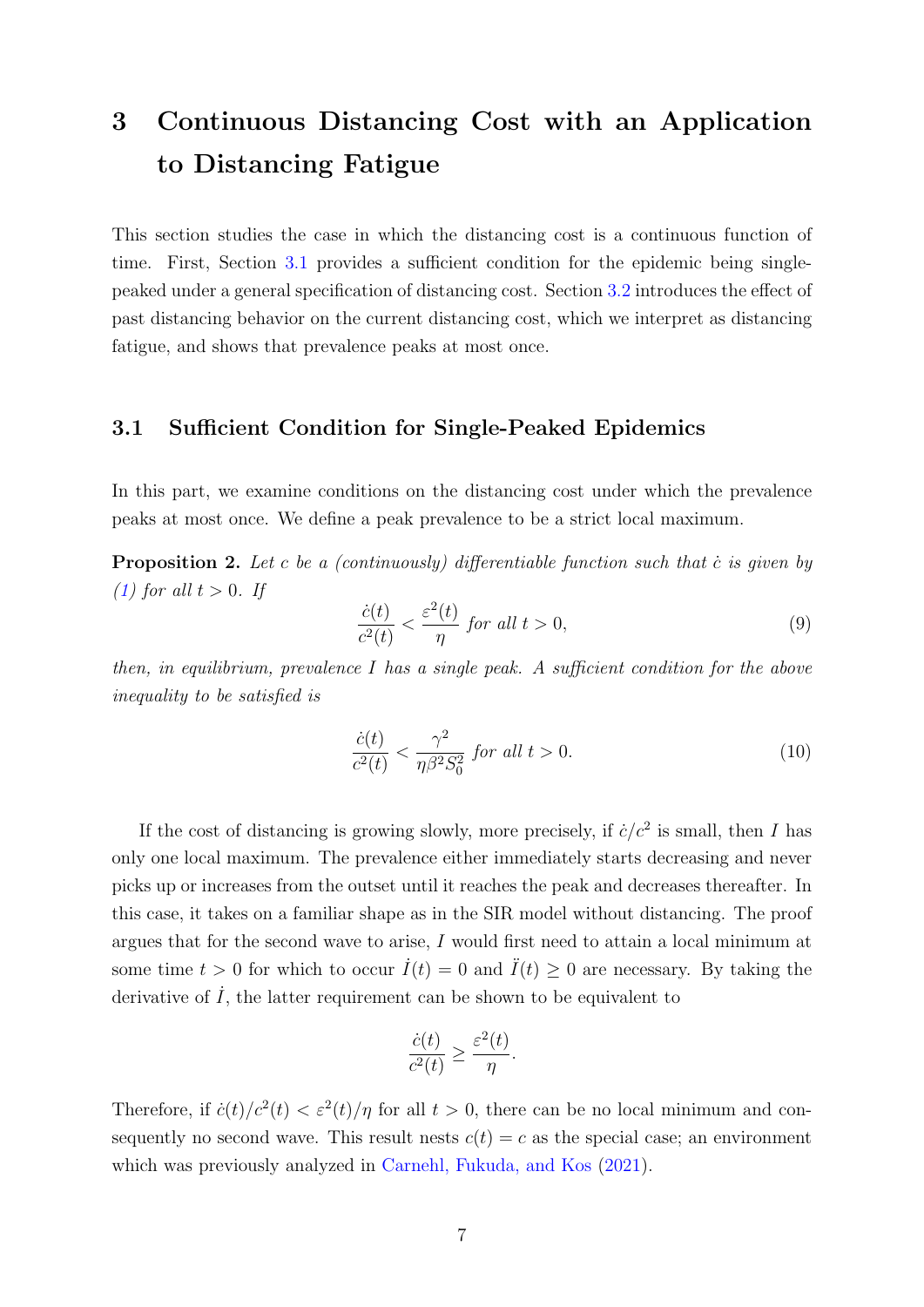## 3 Continuous Distancing Cost with an Application to Distancing Fatigue

This section studies the case in which the distancing cost is a continuous function of time. First, Section [3.1](#page-7-0) provides a sufficient condition for the epidemic being singlepeaked under a general specification of distancing cost. Section [3.2](#page-10-0) introduces the effect of past distancing behavior on the current distancing cost, which we interpret as distancing fatigue, and shows that prevalence peaks at most once.

#### <span id="page-7-0"></span>3.1 Sufficient Condition for Single-Peaked Epidemics

In this part, we examine conditions on the distancing cost under which the prevalence peaks at most once. We define a peak prevalence to be a strict local maximum.

<span id="page-7-1"></span>**Proposition 2.** Let c be a (continuously) differentiable function such that c is given by [\(1\)](#page-5-7) for all  $t > 0$ . If

<span id="page-7-2"></span>
$$
\frac{\dot{c}(t)}{c^2(t)} < \frac{\varepsilon^2(t)}{\eta} \text{ for all } t > 0,\tag{9}
$$

then, in equilibrium, prevalence I has a single peak. A sufficient condition for the above inequality to be satisfied is

<span id="page-7-3"></span>
$$
\frac{\dot{c}(t)}{c^2(t)} < \frac{\gamma^2}{\eta \beta^2 S_0^2} \text{ for all } t > 0. \tag{10}
$$

If the cost of distancing is growing slowly, more precisely, if  $\dot{c}/c^2$  is small, then I has only one local maximum. The prevalence either immediately starts decreasing and never picks up or increases from the outset until it reaches the peak and decreases thereafter. In this case, it takes on a familiar shape as in the SIR model without distancing. The proof argues that for the second wave to arise, I would first need to attain a local minimum at some time  $t > 0$  for which to occur  $\dot{I}(t) = 0$  and  $\ddot{I}(t) \geq 0$  are necessary. By taking the derivative of  $\dot{I}$ , the latter requirement can be shown to be equivalent to

$$
\frac{\dot{c}(t)}{c^2(t)} \ge \frac{\varepsilon^2(t)}{\eta}.
$$

Therefore, if  $\dot{c}(t)/c^2(t) < \varepsilon^2(t)/\eta$  for all  $t > 0$ , there can be no local minimum and consequently no second wave. This result nests  $c(t) = c$  as the special case; an environment which was previously analyzed in [Carnehl, Fukuda, and Kos](#page-19-3) [\(2021\)](#page-19-3).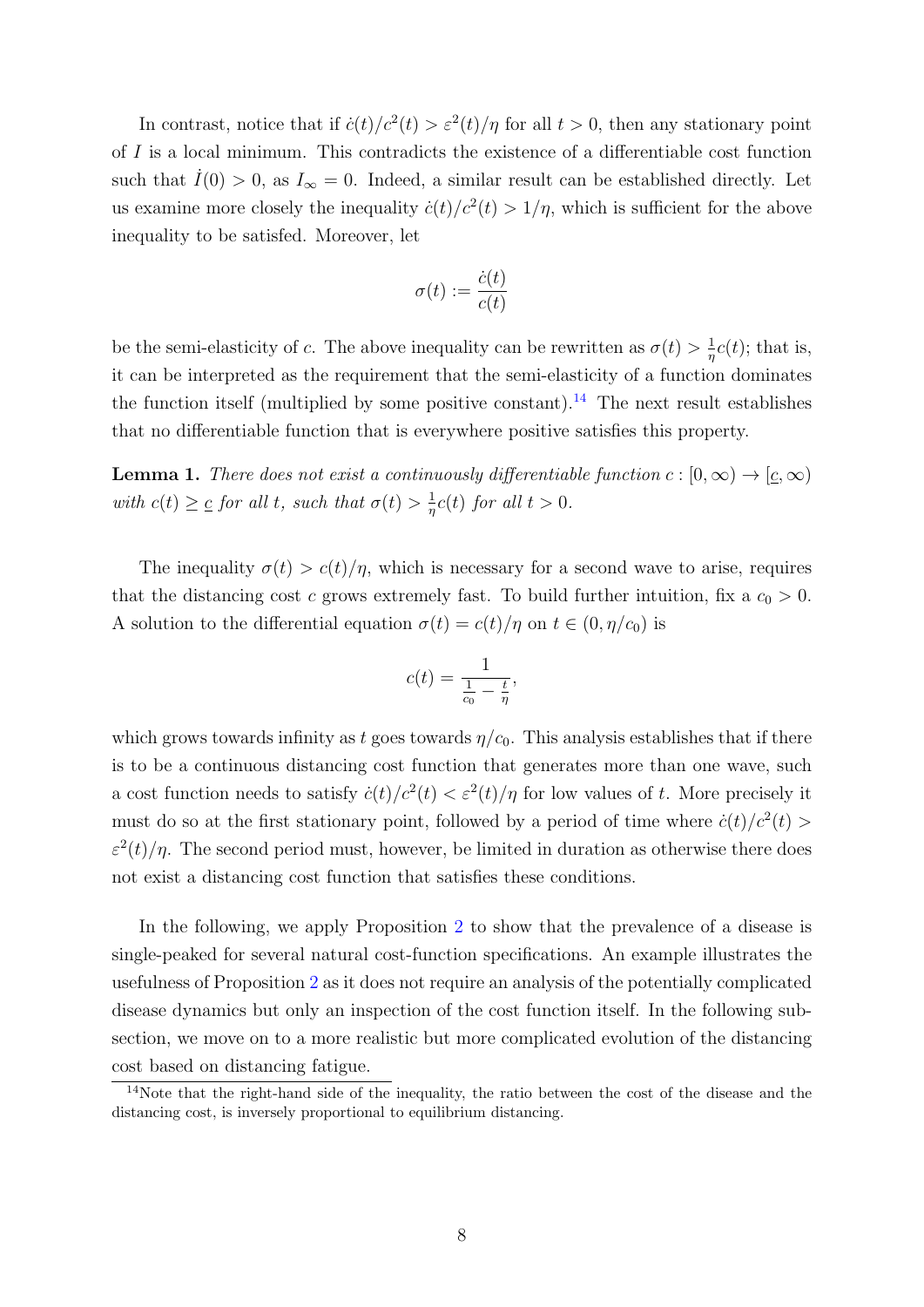In contrast, notice that if  $\dot{c}(t)/c^2(t) > \varepsilon^2(t)/\eta$  for all  $t > 0$ , then any stationary point of  $I$  is a local minimum. This contradicts the existence of a differentiable cost function such that  $I(0) > 0$ , as  $I_{\infty} = 0$ . Indeed, a similar result can be established directly. Let us examine more closely the inequality  $\dot{c}(t)/c^2(t) > 1/\eta$ , which is sufficient for the above inequality to be satisfed. Moreover, let

$$
\sigma(t):=\frac{\dot{c}(t)}{c(t)}
$$

be the semi-elasticity of c. The above inequality can be rewritten as  $\sigma(t) > \frac{1}{r}$  $\frac{1}{\eta}c(t)$ ; that is, it can be interpreted as the requirement that the semi-elasticity of a function dominates the function itself (multiplied by some positive constant).<sup>[14](#page-8-0)</sup> The next result establishes that no differentiable function that is everywhere positive satisfies this property.

<span id="page-8-1"></span>**Lemma 1.** There does not exist a continuously differentiable function  $c : [0, \infty) \to [\underline{c}, \infty)$ with  $c(t) \geq c$  for all t, such that  $\sigma(t) > \frac{1}{n}$  $\frac{1}{\eta}c(t)$  for all  $t > 0$ .

The inequality  $\sigma(t) > c(t)/\eta$ , which is necessary for a second wave to arise, requires that the distancing cost c grows extremely fast. To build further intuition, fix a  $c_0 > 0$ . A solution to the differential equation  $\sigma(t) = c(t)/\eta$  on  $t \in (0, \eta/c_0)$  is

$$
c(t) = \frac{1}{\frac{1}{c_0} - \frac{t}{\eta}},
$$

which grows towards infinity as t goes towards  $\eta/c_0$ . This analysis establishes that if there is to be a continuous distancing cost function that generates more than one wave, such a cost function needs to satisfy  $\dot{c}(t)/c^2(t) < \varepsilon^2(t)/\eta$  for low values of t. More precisely it must do so at the first stationary point, followed by a period of time where  $\dot{c}(t)/c^2(t)$  $\varepsilon^2(t)/\eta$ . The second period must, however, be limited in duration as otherwise there does not exist a distancing cost function that satisfies these conditions.

In the following, we apply Proposition [2](#page-7-1) to show that the prevalence of a disease is single-peaked for several natural cost-function specifications. An example illustrates the usefulness of Proposition [2](#page-7-1) as it does not require an analysis of the potentially complicated disease dynamics but only an inspection of the cost function itself. In the following subsection, we move on to a more realistic but more complicated evolution of the distancing cost based on distancing fatigue.

<span id="page-8-0"></span><sup>&</sup>lt;sup>14</sup>Note that the right-hand side of the inequality, the ratio between the cost of the disease and the distancing cost, is inversely proportional to equilibrium distancing.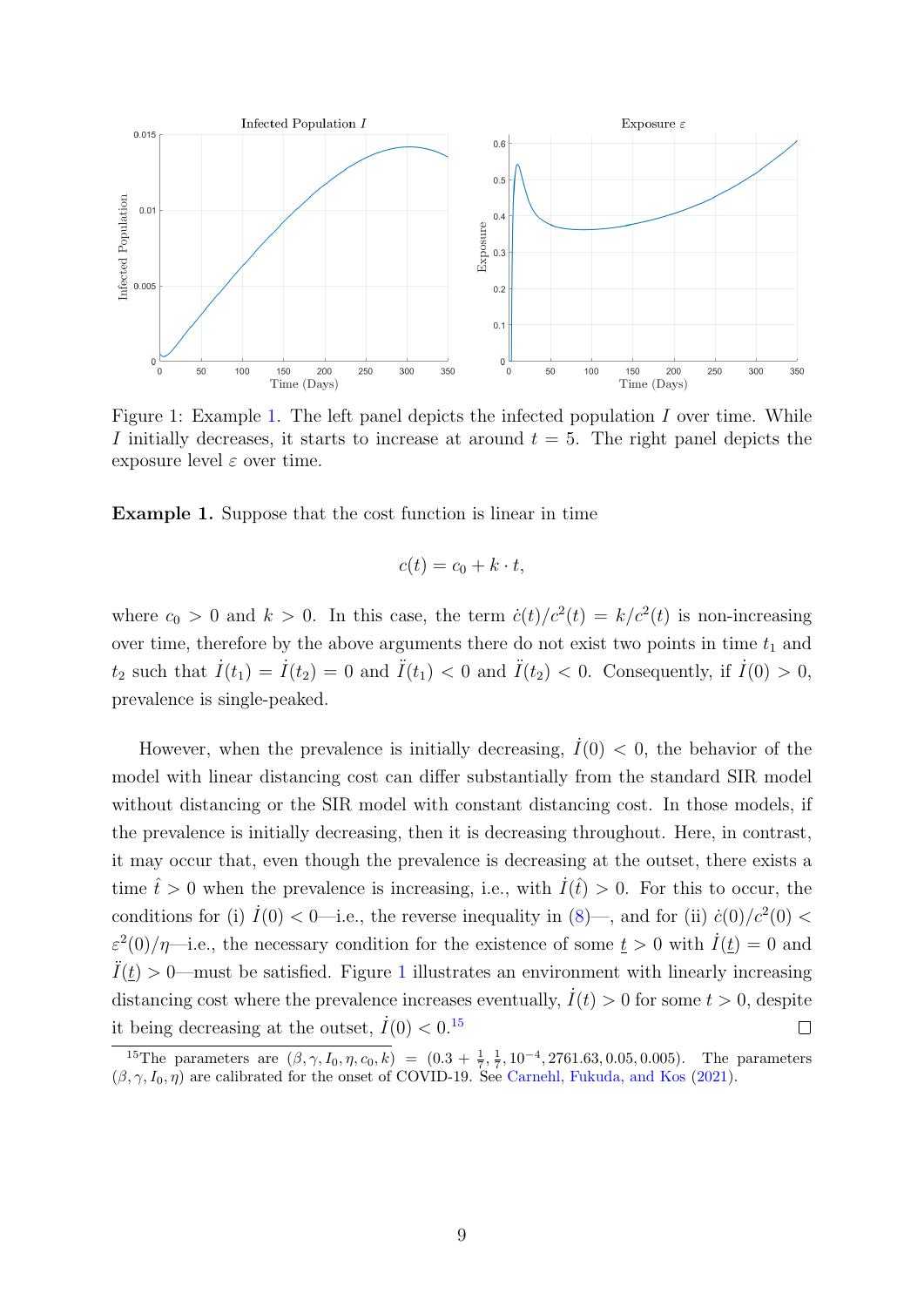

<span id="page-9-1"></span>Figure 1: Example [1.](#page-9-0) The left panel depicts the infected population I over time. While I initially decreases, it starts to increase at around  $t = 5$ . The right panel depicts the exposure level  $\varepsilon$  over time.

<span id="page-9-0"></span>Example 1. Suppose that the cost function is linear in time

$$
c(t) = c_0 + k \cdot t,
$$

where  $c_0 > 0$  and  $k > 0$ . In this case, the term  $\dot{c}(t)/c^2(t) = k/c^2(t)$  is non-increasing over time, therefore by the above arguments there do not exist two points in time  $t_1$  and  $t_2$  such that  $\dot{I}(t_1) = \dot{I}(t_2) = 0$  and  $\ddot{I}(t_1) < 0$  and  $\ddot{I}(t_2) < 0$ . Consequently, if  $\dot{I}(0) > 0$ , prevalence is single-peaked.

However, when the prevalence is initially decreasing,  $\dot{I}(0) < 0$ , the behavior of the model with linear distancing cost can differ substantially from the standard SIR model without distancing or the SIR model with constant distancing cost. In those models, if the prevalence is initially decreasing, then it is decreasing throughout. Here, in contrast, it may occur that, even though the prevalence is decreasing at the outset, there exists a time  $\hat{t} > 0$  when the prevalence is increasing, i.e., with  $I(\hat{t}) > 0$ . For this to occur, the conditions for (i)  $\dot{I}(0) < 0$ —i.e., the reverse inequality in [\(8\)](#page-6-3)—, and for (ii)  $\dot{c}(0)/c^2(0) <$  $\varepsilon^2(0)/\eta$ —i.e., the necessary condition for the existence of some  $\underline{t} > 0$  with  $\dot{I}(\underline{t}) = 0$  and  $\ddot{I}(\underline{t}) > 0$ —must be satisfied. Figure [1](#page-9-1) illustrates an environment with linearly increasing distancing cost where the prevalence increases eventually,  $\dot{I}(t) > 0$  for some  $t > 0$ , despite it being decreasing at the outset,  $\dot{I}(0) < 0.15$  $\dot{I}(0) < 0.15$  $\Box$ 

<span id="page-9-2"></span><sup>&</sup>lt;sup>15</sup>The parameters are  $(\beta, \gamma, I_0, \eta, c_0, k) = (0.3 + \frac{1}{7}, \frac{1}{7}, 10^{-4}, 2761.63, 0.05, 0.005)$ . The parameters  $(\beta, \gamma, I_0, \eta)$  are calibrated for the onset of COVID-19. See [Carnehl, Fukuda, and Kos](#page-19-3) [\(2021\)](#page-19-3).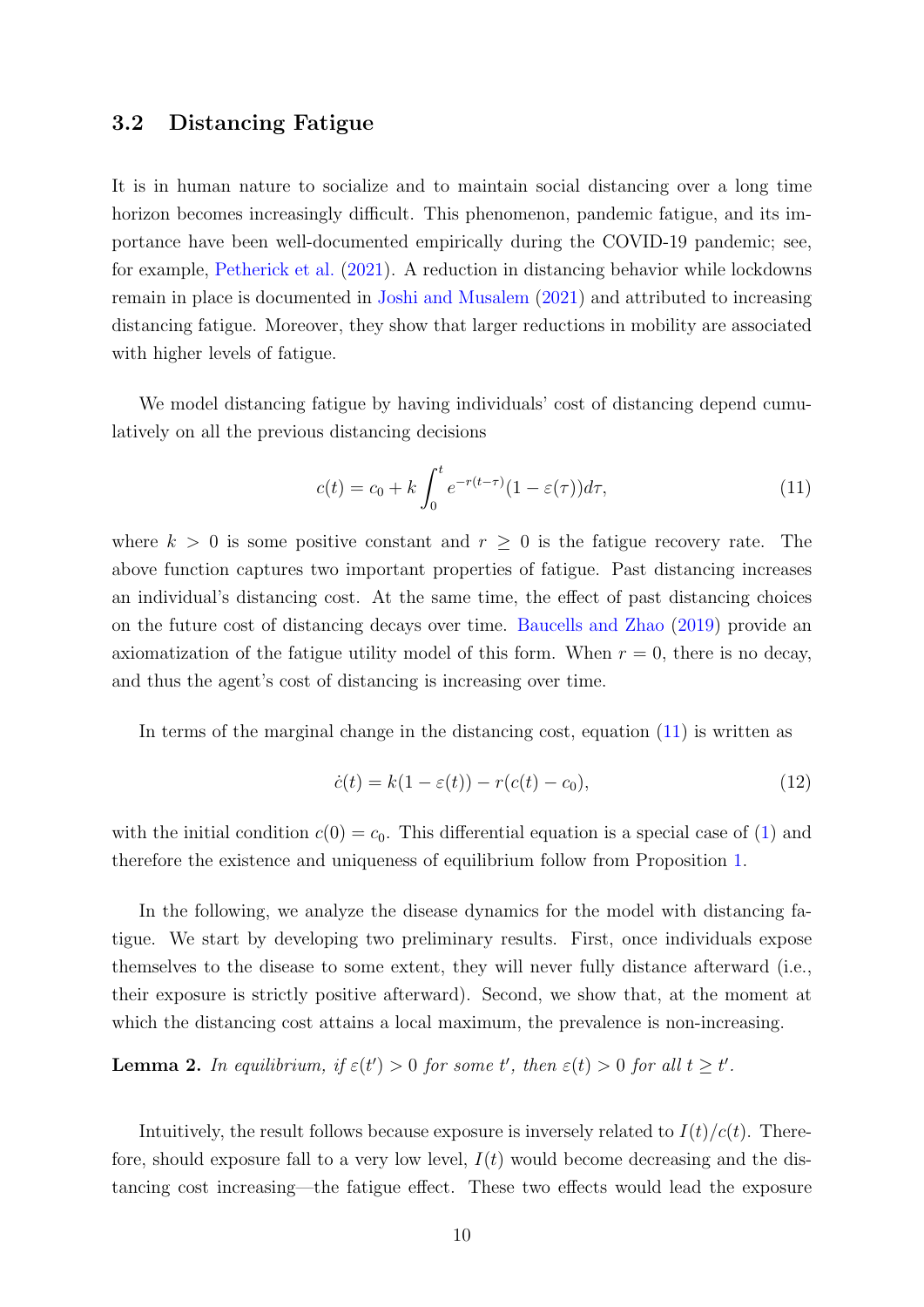#### <span id="page-10-0"></span>3.2 Distancing Fatigue

It is in human nature to socialize and to maintain social distancing over a long time horizon becomes increasingly difficult. This phenomenon, pandemic fatigue, and its importance have been well-documented empirically during the COVID-19 pandemic; see, for example, [Petherick et al.](#page-21-0) [\(2021\)](#page-21-0). A reduction in distancing behavior while lockdowns remain in place is documented in [Joshi and Musalem](#page-21-8) [\(2021\)](#page-21-8) and attributed to increasing distancing fatigue. Moreover, they show that larger reductions in mobility are associated with higher levels of fatigue.

We model distancing fatigue by having individuals' cost of distancing depend cumulatively on all the previous distancing decisions

<span id="page-10-1"></span>
$$
c(t) = c_0 + k \int_0^t e^{-r(t-\tau)} (1 - \varepsilon(\tau)) d\tau,
$$
\n(11)

where  $k > 0$  is some positive constant and  $r \geq 0$  is the fatigue recovery rate. The above function captures two important properties of fatigue. Past distancing increases an individual's distancing cost. At the same time, the effect of past distancing choices on the future cost of distancing decays over time. [Baucells and Zhao](#page-19-4) [\(2019\)](#page-19-4) provide an axiomatization of the fatigue utility model of this form. When  $r = 0$ , there is no decay, and thus the agent's cost of distancing is increasing over time.

In terms of the marginal change in the distancing cost, equation [\(11\)](#page-10-1) is written as

<span id="page-10-3"></span>
$$
\dot{c}(t) = k(1 - \varepsilon(t)) - r(c(t) - c_0),\tag{12}
$$

with the initial condition  $c(0) = c_0$ . This differential equation is a special case of [\(1\)](#page-5-7) and therefore the existence and uniqueness of equilibrium follow from Proposition [1.](#page-6-4)

In the following, we analyze the disease dynamics for the model with distancing fatigue. We start by developing two preliminary results. First, once individuals expose themselves to the disease to some extent, they will never fully distance afterward (i.e., their exposure is strictly positive afterward). Second, we show that, at the moment at which the distancing cost attains a local maximum, the prevalence is non-increasing.

<span id="page-10-2"></span>**Lemma 2.** In equilibrium, if  $\varepsilon(t') > 0$  for some t', then  $\varepsilon(t) > 0$  for all  $t \geq t'$ .

Intuitively, the result follows because exposure is inversely related to  $I(t)/c(t)$ . Therefore, should exposure fall to a very low level,  $I(t)$  would become decreasing and the distancing cost increasing—the fatigue effect. These two effects would lead the exposure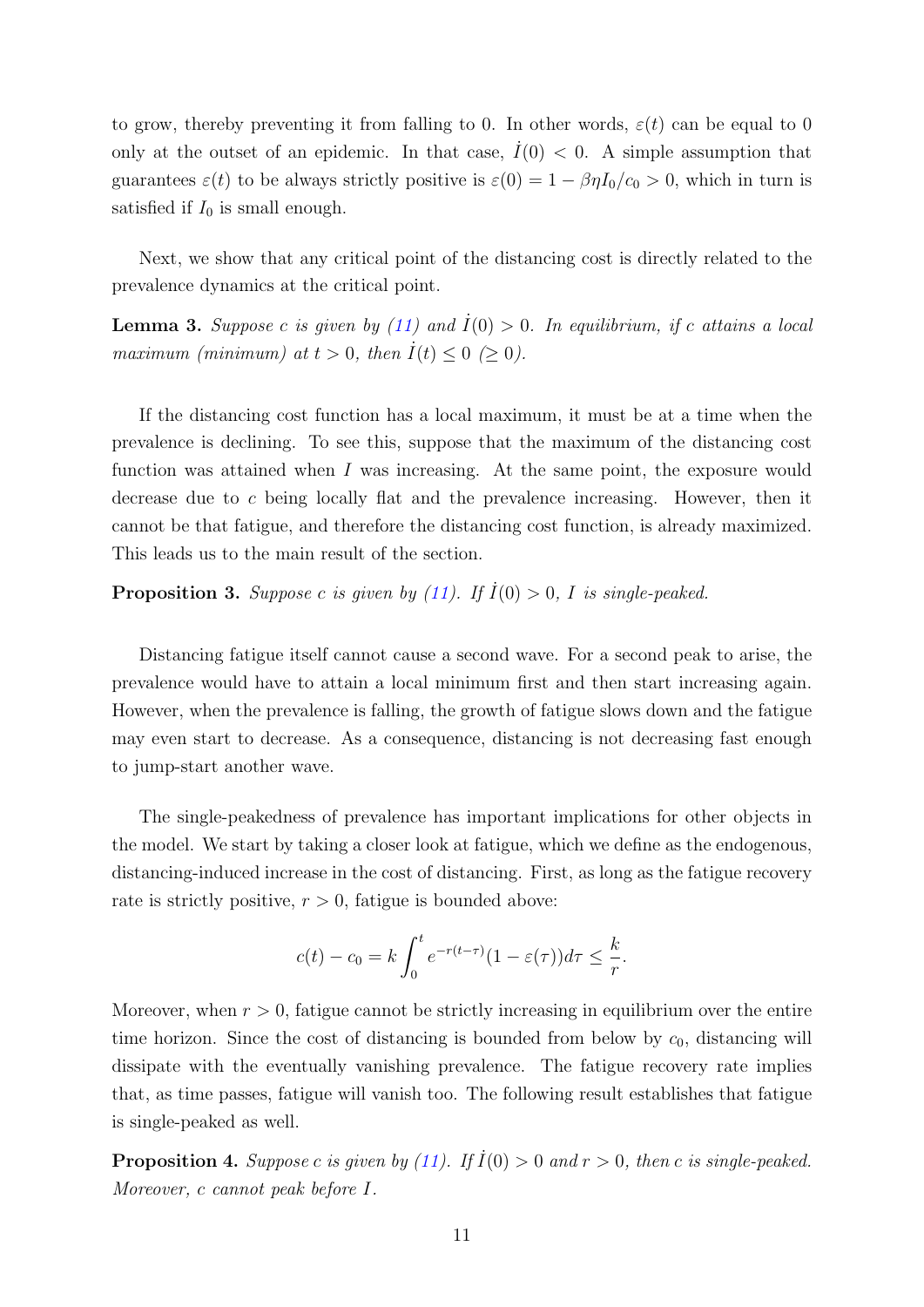to grow, thereby preventing it from falling to 0. In other words,  $\varepsilon(t)$  can be equal to 0 only at the outset of an epidemic. In that case,  $I(0) < 0$ . A simple assumption that guarantees  $\varepsilon(t)$  to be always strictly positive is  $\varepsilon(0) = 1 - \beta \eta I_0/c_0 > 0$ , which in turn is satisfied if  $I_0$  is small enough.

Next, we show that any critical point of the distancing cost is directly related to the prevalence dynamics at the critical point.

<span id="page-11-2"></span>**Lemma 3.** Suppose c is given by [\(11\)](#page-10-1) and  $I(0) > 0$ . In equilibrium, if c attains a local maximum (minimum) at  $t > 0$ , then  $\dot{I}(t) \leq 0 \geq 0$ ).

If the distancing cost function has a local maximum, it must be at a time when the prevalence is declining. To see this, suppose that the maximum of the distancing cost function was attained when I was increasing. At the same point, the exposure would decrease due to c being locally flat and the prevalence increasing. However, then it cannot be that fatigue, and therefore the distancing cost function, is already maximized. This leads us to the main result of the section.

<span id="page-11-0"></span>**Proposition 3.** Suppose c is given by [\(11\)](#page-10-1). If  $\dot{I}(0) > 0$ , I is single-peaked.

Distancing fatigue itself cannot cause a second wave. For a second peak to arise, the prevalence would have to attain a local minimum first and then start increasing again. However, when the prevalence is falling, the growth of fatigue slows down and the fatigue may even start to decrease. As a consequence, distancing is not decreasing fast enough to jump-start another wave.

The single-peakedness of prevalence has important implications for other objects in the model. We start by taking a closer look at fatigue, which we define as the endogenous, distancing-induced increase in the cost of distancing. First, as long as the fatigue recovery rate is strictly positive,  $r > 0$ , fatigue is bounded above:

$$
c(t) - c_0 = k \int_0^t e^{-r(t-\tau)} (1 - \varepsilon(\tau)) d\tau \le \frac{k}{r}.
$$

Moreover, when  $r > 0$ , fatigue cannot be strictly increasing in equilibrium over the entire time horizon. Since the cost of distancing is bounded from below by  $c_0$ , distancing will dissipate with the eventually vanishing prevalence. The fatigue recovery rate implies that, as time passes, fatigue will vanish too. The following result establishes that fatigue is single-peaked as well.

<span id="page-11-1"></span>**Proposition 4.** Suppose c is given by [\(11\)](#page-10-1). If  $\dot{I}(0) > 0$  and  $r > 0$ , then c is single-peaked. Moreover, c cannot peak before I.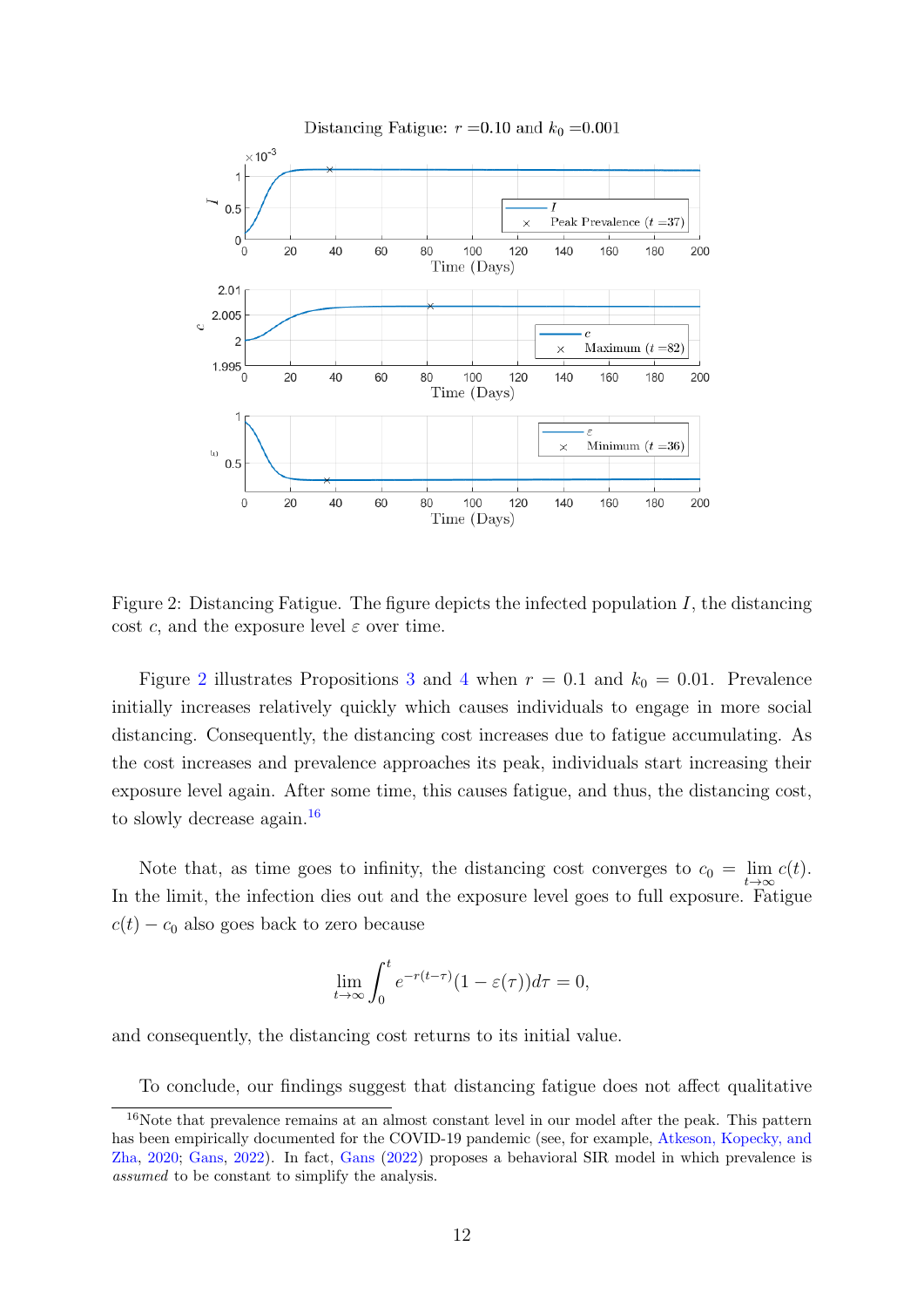

<span id="page-12-0"></span>Figure 2: Distancing Fatigue. The figure depicts the infected population  $I$ , the distancing cost c, and the exposure level  $\varepsilon$  over time.

Figure [2](#page-12-0) illustrates Propositions [3](#page-11-0) and [4](#page-11-1) when  $r = 0.1$  and  $k_0 = 0.01$ . Prevalence initially increases relatively quickly which causes individuals to engage in more social distancing. Consequently, the distancing cost increases due to fatigue accumulating. As the cost increases and prevalence approaches its peak, individuals start increasing their exposure level again. After some time, this causes fatigue, and thus, the distancing cost, to slowly decrease again.<sup>[16](#page-12-1)</sup>

Note that, as time goes to infinity, the distancing cost converges to  $c_0 = \lim_{t \to \infty} c(t)$ . In the limit, the infection dies out and the exposure level goes to full exposure. Fatigue  $c(t) - c_0$  also goes back to zero because

$$
\lim_{t \to \infty} \int_0^t e^{-r(t-\tau)} (1 - \varepsilon(\tau)) d\tau = 0,
$$

and consequently, the distancing cost returns to its initial value.

<span id="page-12-1"></span>To conclude, our findings suggest that distancing fatigue does not affect qualitative

<sup>&</sup>lt;sup>16</sup>Note that prevalence remains at an almost constant level in our model after the peak. This pattern has been empirically documented for the COVID-19 pandemic (see, for example, [Atkeson, Kopecky, and](#page-19-7) [Zha,](#page-19-7) [2020;](#page-19-7) [Gans,](#page-20-11) [2022\)](#page-20-11). In fact, [Gans](#page-20-11) [\(2022\)](#page-20-11) proposes a behavioral SIR model in which prevalence is assumed to be constant to simplify the analysis.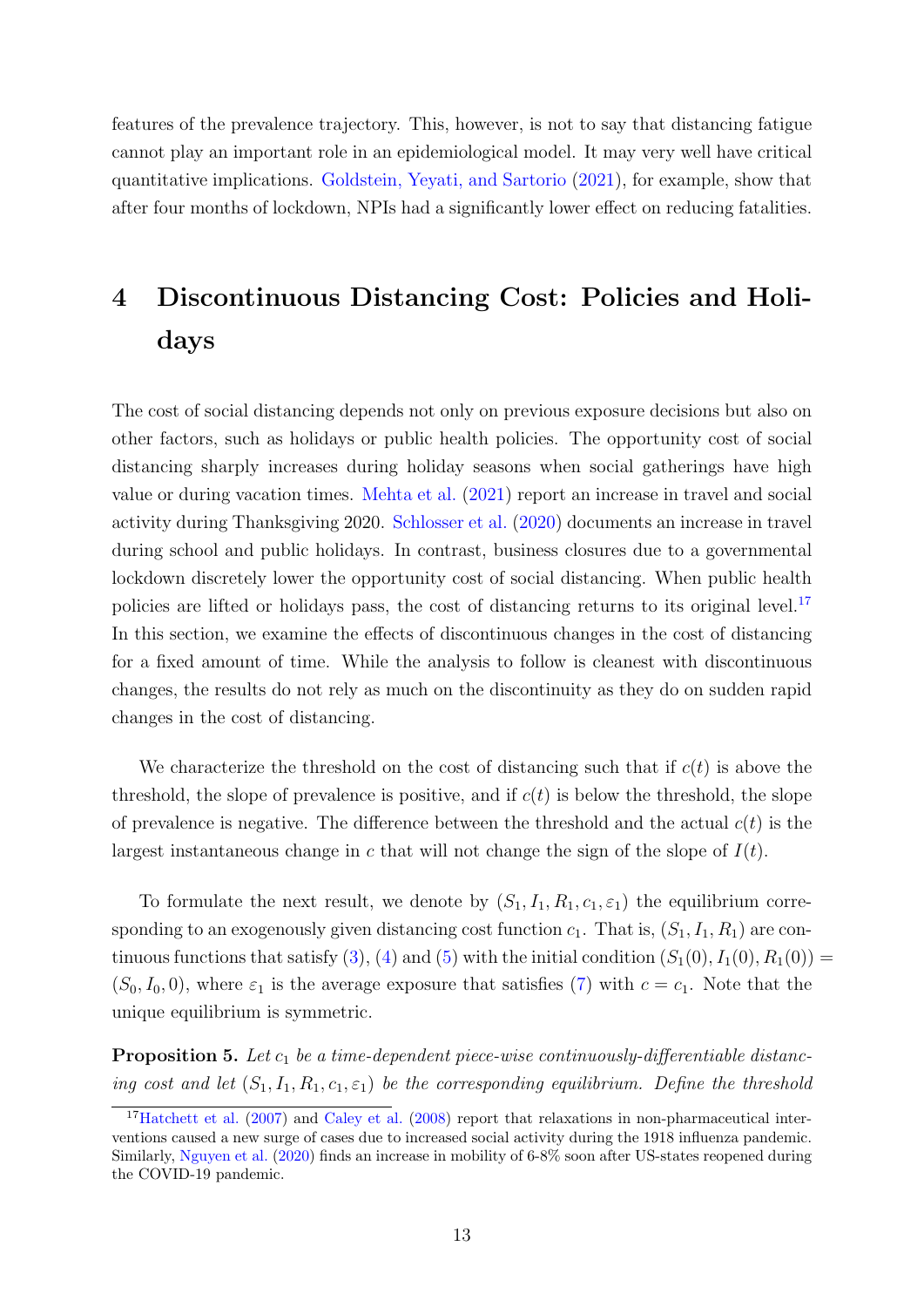features of the prevalence trajectory. This, however, is not to say that distancing fatigue cannot play an important role in an epidemiological model. It may very well have critical quantitative implications. [Goldstein, Yeyati, and Sartorio](#page-20-3) [\(2021\)](#page-20-3), for example, show that after four months of lockdown, NPIs had a significantly lower effect on reducing fatalities.

## 4 Discontinuous Distancing Cost: Policies and Holidays

The cost of social distancing depends not only on previous exposure decisions but also on other factors, such as holidays or public health policies. The opportunity cost of social distancing sharply increases during holiday seasons when social gatherings have high value or during vacation times. [Mehta et al.](#page-21-9) [\(2021\)](#page-21-9) report an increase in travel and social activity during Thanksgiving 2020. [Schlosser et al.](#page-22-6) [\(2020\)](#page-22-6) documents an increase in travel during school and public holidays. In contrast, business closures due to a governmental lockdown discretely lower the opportunity cost of social distancing. When public health policies are lifted or holidays pass, the cost of distancing returns to its original level.<sup>[17](#page-13-0)</sup> In this section, we examine the effects of discontinuous changes in the cost of distancing for a fixed amount of time. While the analysis to follow is cleanest with discontinuous changes, the results do not rely as much on the discontinuity as they do on sudden rapid changes in the cost of distancing.

We characterize the threshold on the cost of distancing such that if  $c(t)$  is above the threshold, the slope of prevalence is positive, and if  $c(t)$  is below the threshold, the slope of prevalence is negative. The difference between the threshold and the actual  $c(t)$  is the largest instantaneous change in c that will not change the sign of the slope of  $I(t)$ .

To formulate the next result, we denote by  $(S_1, I_1, R_1, c_1, \varepsilon_1)$  the equilibrium corresponding to an exogenously given distancing cost function  $c_1$ . That is,  $(S_1, I_1, R_1)$  are con-tinuous functions that satisfy [\(3\)](#page-5-3), [\(4\)](#page-5-4) and [\(5\)](#page-5-5) with the initial condition  $(S_1(0), I_1(0), R_1(0)) =$  $(S_0, I_0, 0)$ , where  $\varepsilon_1$  is the average exposure that satisfies [\(7\)](#page-6-2) with  $c = c_1$ . Note that the unique equilibrium is symmetric.

<span id="page-13-1"></span>**Proposition 5.** Let  $c_1$  be a time-dependent piece-wise continuously-differentiable distancing cost and let  $(S_1, I_1, R_1, c_1, \varepsilon_1)$  be the corresponding equilibrium. Define the threshold

<span id="page-13-0"></span><sup>17</sup>[Hatchett et al.](#page-21-10) [\(2007\)](#page-21-10) and [Caley et al.](#page-19-8) [\(2008\)](#page-19-8) report that relaxations in non-pharmaceutical interventions caused a new surge of cases due to increased social activity during the 1918 influenza pandemic. Similarly, [Nguyen et al.](#page-21-11) [\(2020\)](#page-21-11) finds an increase in mobility of 6-8% soon after US-states reopened during the COVID-19 pandemic.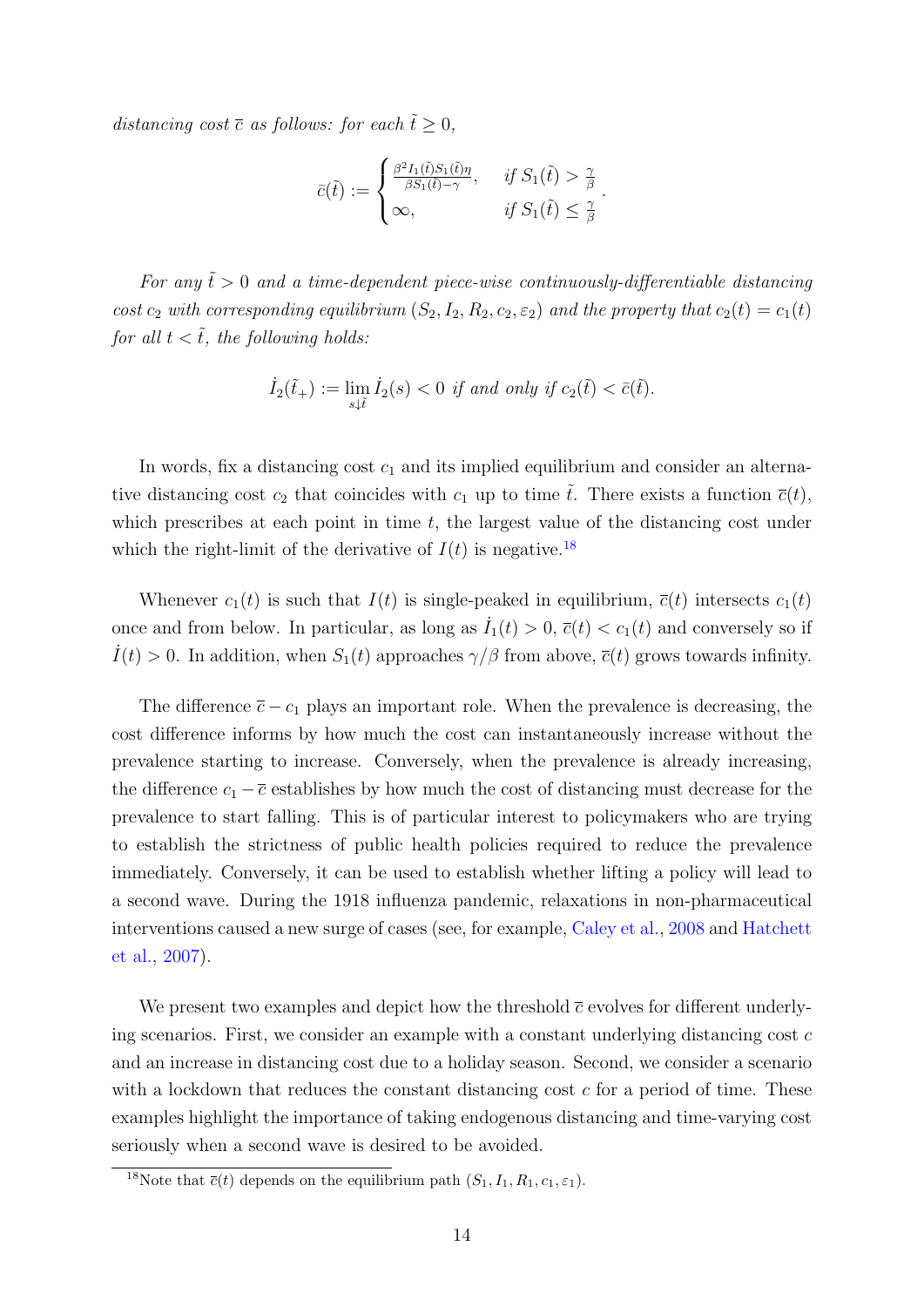distancing cost  $\bar{c}$  as follows: for each  $\tilde{t} \geq 0$ ,

$$
\bar{c}(\tilde{t}) := \begin{cases} \frac{\beta^2 I_1(\tilde{t}) S_1(\tilde{t}) \eta}{\beta S_1(\tilde{t}) - \gamma}, & \text{if } S_1(\tilde{t}) > \frac{\gamma}{\beta} \\ \infty, & \text{if } S_1(\tilde{t}) \le \frac{\gamma}{\beta} \end{cases}.
$$

For any  $\tilde{t} > 0$  and a time-dependent piece-wise continuously-differentiable distancing cost  $c_2$  with corresponding equilibrium  $(S_2, I_2, R_2, c_2, \varepsilon_2)$  and the property that  $c_2(t) = c_1(t)$ for all  $t < \tilde{t}$ , the following holds:

$$
\dot{I}_2(\tilde{t}_+) := \lim_{s \downarrow \tilde{t}} \dot{I}_2(s) < 0 \text{ if and only if } c_2(\tilde{t}) < \bar{c}(\tilde{t}).
$$

In words, fix a distancing cost  $c_1$  and its implied equilibrium and consider an alternative distancing cost  $c_2$  that coincides with  $c_1$  up to time  $\tilde{t}$ . There exists a function  $\bar{c}(t)$ , which prescribes at each point in time  $t$ , the largest value of the distancing cost under which the right-limit of the derivative of  $I(t)$  is negative.<sup>[18](#page-14-0)</sup>

Whenever  $c_1(t)$  is such that  $I(t)$  is single-peaked in equilibrium,  $\bar{c}(t)$  intersects  $c_1(t)$ once and from below. In particular, as long as  $I_1(t) > 0$ ,  $\bar{c}(t) < c_1(t)$  and conversely so if  $I(t) > 0$ . In addition, when  $S_1(t)$  approaches  $\gamma/\beta$  from above,  $\bar{c}(t)$  grows towards infinity.

The difference  $\bar{c} - c_1$  plays an important role. When the prevalence is decreasing, the cost difference informs by how much the cost can instantaneously increase without the prevalence starting to increase. Conversely, when the prevalence is already increasing, the difference  $c_1 - \overline{c}$  establishes by how much the cost of distancing must decrease for the prevalence to start falling. This is of particular interest to policymakers who are trying to establish the strictness of public health policies required to reduce the prevalence immediately. Conversely, it can be used to establish whether lifting a policy will lead to a second wave. During the 1918 influenza pandemic, relaxations in non-pharmaceutical interventions caused a new surge of cases (see, for example, [Caley et al.,](#page-19-8) [2008](#page-19-8) and [Hatchett](#page-21-10) [et al.,](#page-21-10) [2007\)](#page-21-10).

We present two examples and depict how the threshold  $\bar{c}$  evolves for different underlying scenarios. First, we consider an example with a constant underlying distancing cost  $c$ and an increase in distancing cost due to a holiday season. Second, we consider a scenario with a lockdown that reduces the constant distancing cost  $c$  for a period of time. These examples highlight the importance of taking endogenous distancing and time-varying cost seriously when a second wave is desired to be avoided.

<span id="page-14-0"></span><sup>&</sup>lt;sup>18</sup>Note that  $\overline{c}(t)$  depends on the equilibrium path  $(S_1, I_1, R_1, c_1, \varepsilon_1)$ .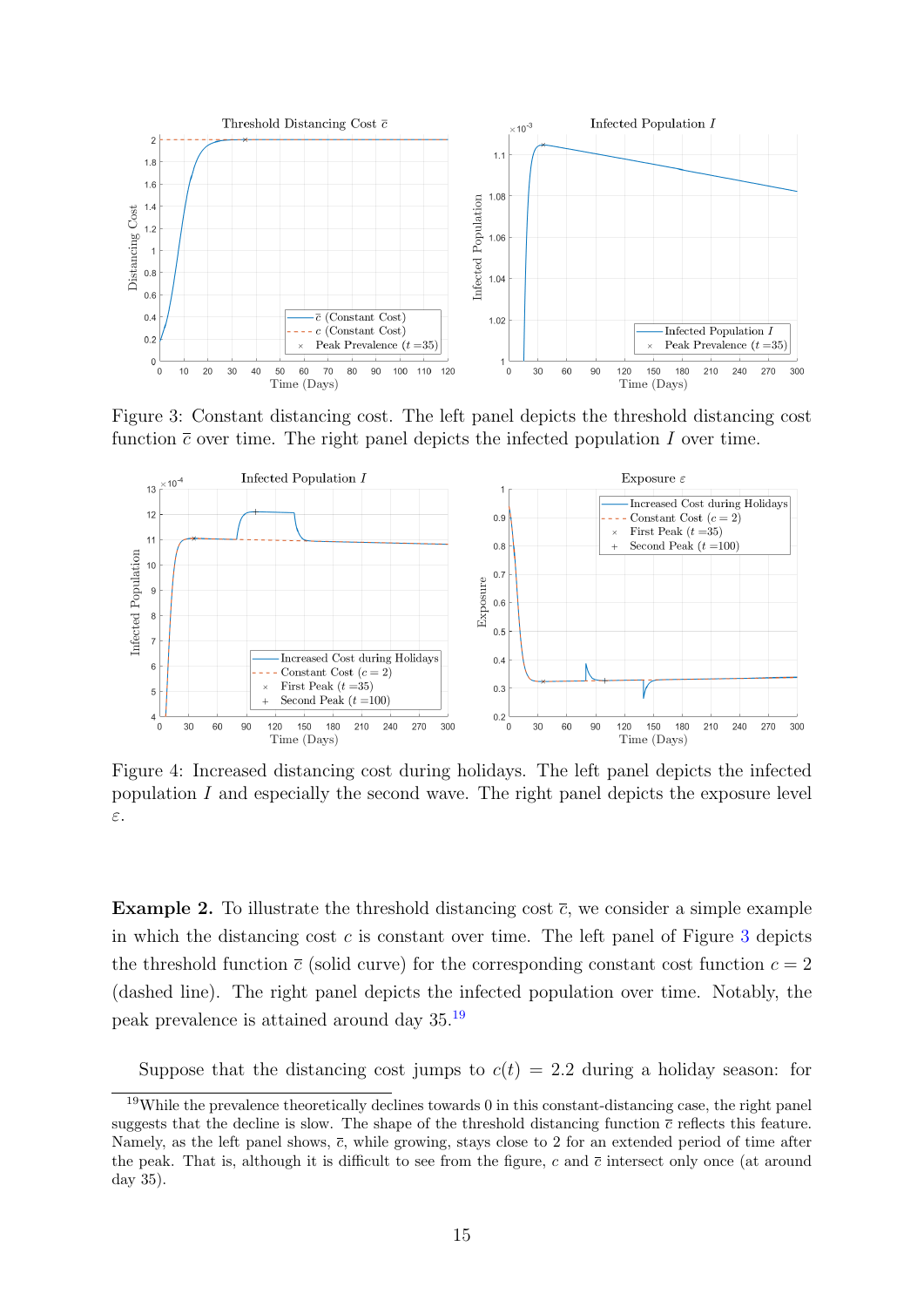

<span id="page-15-0"></span>Figure 3: Constant distancing cost. The left panel depicts the threshold distancing cost function  $\bar{c}$  over time. The right panel depicts the infected population I over time.



<span id="page-15-2"></span>Figure 4: Increased distancing cost during holidays. The left panel depicts the infected population I and especially the second wave. The right panel depicts the exposure level ε.

**Example 2.** To illustrate the threshold distancing cost  $\bar{c}$ , we consider a simple example in which the distancing cost  $c$  is constant over time. The left panel of Figure [3](#page-15-0) depicts the threshold function  $\bar{c}$  (solid curve) for the corresponding constant cost function  $c = 2$ (dashed line). The right panel depicts the infected population over time. Notably, the peak prevalence is attained around day 35.[19](#page-15-1)

Suppose that the distancing cost jumps to  $c(t) = 2.2$  during a holiday season: for

<span id="page-15-1"></span><sup>&</sup>lt;sup>19</sup>While the prevalence theoretically declines towards 0 in this constant-distancing case, the right panel suggests that the decline is slow. The shape of the threshold distancing function  $\bar{c}$  reflects this feature. Namely, as the left panel shows,  $\bar{c}$ , while growing, stays close to 2 for an extended period of time after the peak. That is, although it is difficult to see from the figure, c and  $\bar{c}$  intersect only once (at around day 35).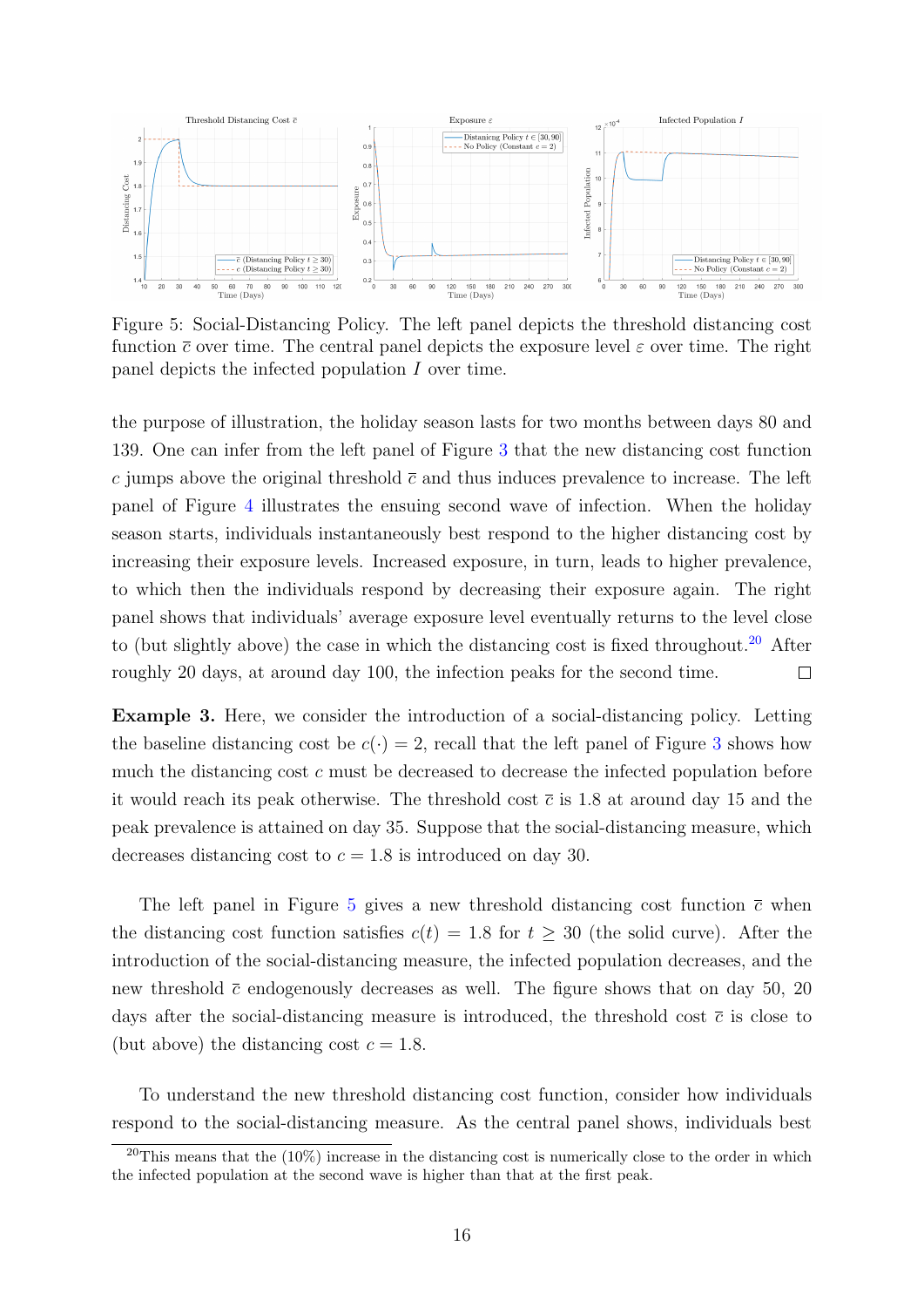

<span id="page-16-1"></span>Figure 5: Social-Distancing Policy. The left panel depicts the threshold distancing cost function  $\bar{c}$  over time. The central panel depicts the exposure level  $\varepsilon$  over time. The right panel depicts the infected population I over time.

the purpose of illustration, the holiday season lasts for two months between days 80 and 139. One can infer from the left panel of Figure [3](#page-15-0) that the new distancing cost function c jumps above the original threshold  $\bar{c}$  and thus induces prevalence to increase. The left panel of Figure [4](#page-15-2) illustrates the ensuing second wave of infection. When the holiday season starts, individuals instantaneously best respond to the higher distancing cost by increasing their exposure levels. Increased exposure, in turn, leads to higher prevalence, to which then the individuals respond by decreasing their exposure again. The right panel shows that individuals' average exposure level eventually returns to the level close to (but slightly above) the case in which the distancing cost is fixed throughout.<sup>[20](#page-16-0)</sup> After roughly 20 days, at around day 100, the infection peaks for the second time.  $\Box$ 

Example 3. Here, we consider the introduction of a social-distancing policy. Letting the baseline distancing cost be  $c(\cdot) = 2$ , recall that the left panel of Figure [3](#page-15-0) shows how much the distancing cost c must be decreased to decrease the infected population before it would reach its peak otherwise. The threshold cost  $\bar{c}$  is 1.8 at around day 15 and the peak prevalence is attained on day 35. Suppose that the social-distancing measure, which decreases distancing cost to  $c = 1.8$  is introduced on day 30.

The left panel in Figure [5](#page-16-1) gives a new threshold distancing cost function  $\bar{c}$  when the distancing cost function satisfies  $c(t) = 1.8$  for  $t \geq 30$  (the solid curve). After the introduction of the social-distancing measure, the infected population decreases, and the new threshold  $\bar{c}$  endogenously decreases as well. The figure shows that on day 50, 20 days after the social-distancing measure is introduced, the threshold cost  $\bar{c}$  is close to (but above) the distancing cost  $c = 1.8$ .

To understand the new threshold distancing cost function, consider how individuals respond to the social-distancing measure. As the central panel shows, individuals best

<span id="page-16-0"></span><sup>&</sup>lt;sup>20</sup>This means that the  $(10\%)$  increase in the distancing cost is numerically close to the order in which the infected population at the second wave is higher than that at the first peak.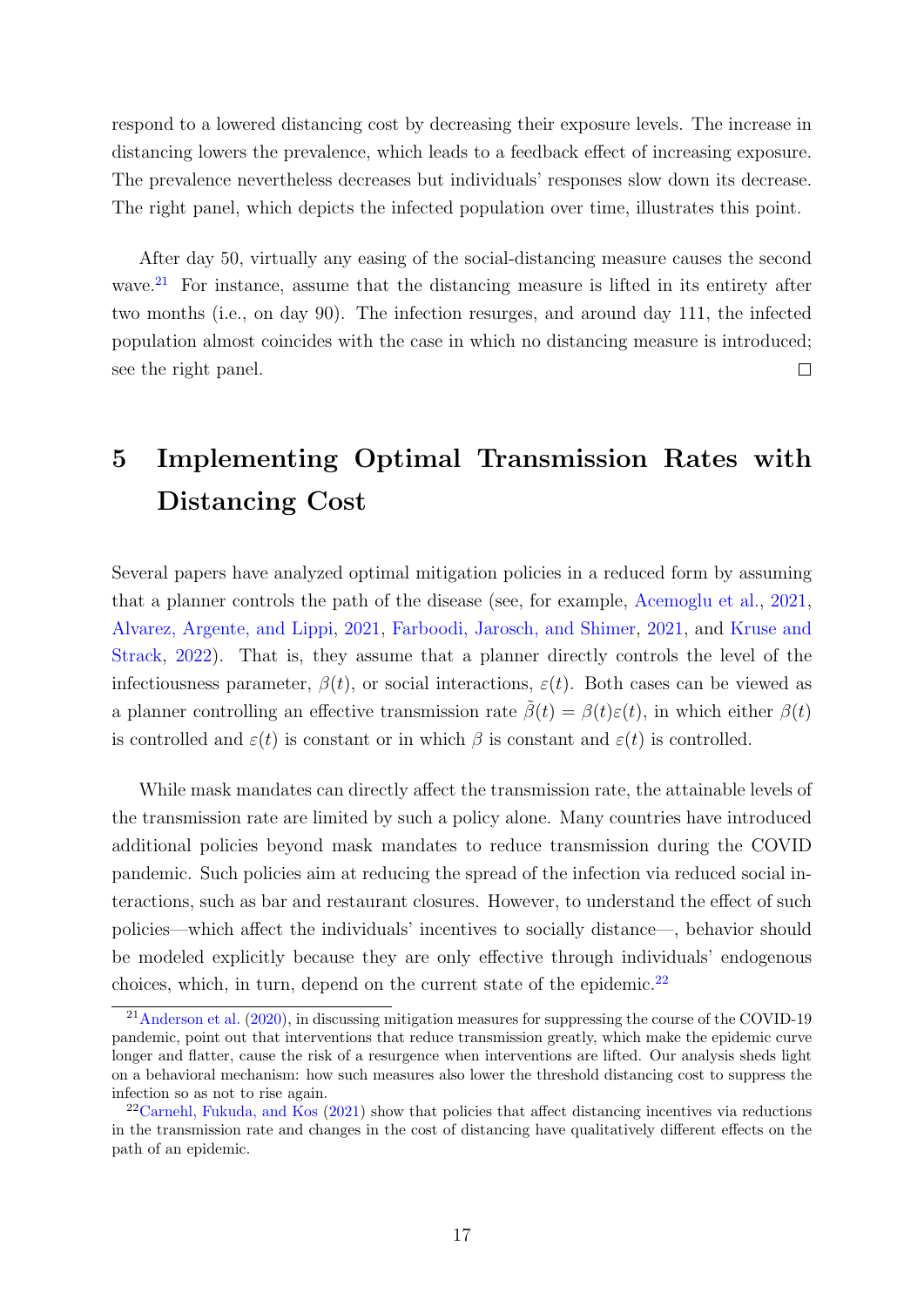respond to a lowered distancing cost by decreasing their exposure levels. The increase in distancing lowers the prevalence, which leads to a feedback effect of increasing exposure. The prevalence nevertheless decreases but individuals' responses slow down its decrease. The right panel, which depicts the infected population over time, illustrates this point.

After day 50, virtually any easing of the social-distancing measure causes the second wave. $21$  For instance, assume that the distancing measure is lifted in its entirety after two months (i.e., on day 90). The infection resurges, and around day 111, the infected population almost coincides with the case in which no distancing measure is introduced; see the right panel. П

## 5 Implementing Optimal Transmission Rates with Distancing Cost

Several papers have analyzed optimal mitigation policies in a reduced form by assuming that a planner controls the path of the disease (see, for example, [Acemoglu et al.,](#page-19-5) [2021,](#page-19-5) [Alvarez, Argente, and Lippi,](#page-19-6) [2021,](#page-19-6) [Farboodi, Jarosch, and Shimer,](#page-20-4) [2021,](#page-20-4) and [Kruse and](#page-21-4) [Strack,](#page-21-4) [2022\)](#page-21-4). That is, they assume that a planner directly controls the level of the infectiousness parameter,  $\beta(t)$ , or social interactions,  $\varepsilon(t)$ . Both cases can be viewed as a planner controlling an effective transmission rate  $\hat{\beta}(t) = \beta(t)\varepsilon(t)$ , in which either  $\beta(t)$ is controlled and  $\varepsilon(t)$  is constant or in which  $\beta$  is constant and  $\varepsilon(t)$  is controlled.

While mask mandates can directly affect the transmission rate, the attainable levels of the transmission rate are limited by such a policy alone. Many countries have introduced additional policies beyond mask mandates to reduce transmission during the COVID pandemic. Such policies aim at reducing the spread of the infection via reduced social interactions, such as bar and restaurant closures. However, to understand the effect of such policies—which affect the individuals' incentives to socially distance—, behavior should be modeled explicitly because they are only effective through individuals' endogenous choices, which, in turn, depend on the current state of the epidemic. $22$ 

<span id="page-17-0"></span> $^{21}$ [Anderson et al.](#page-19-9) [\(2020\)](#page-19-9), in discussing mitigation measures for suppressing the course of the COVID-19 pandemic, point out that interventions that reduce transmission greatly, which make the epidemic curve longer and flatter, cause the risk of a resurgence when interventions are lifted. Our analysis sheds light on a behavioral mechanism: how such measures also lower the threshold distancing cost to suppress the infection so as not to rise again.

<span id="page-17-1"></span> $22$ [Carnehl, Fukuda, and Kos](#page-19-3) [\(2021\)](#page-19-3) show that policies that affect distancing incentives via reductions in the transmission rate and changes in the cost of distancing have qualitatively different effects on the path of an epidemic.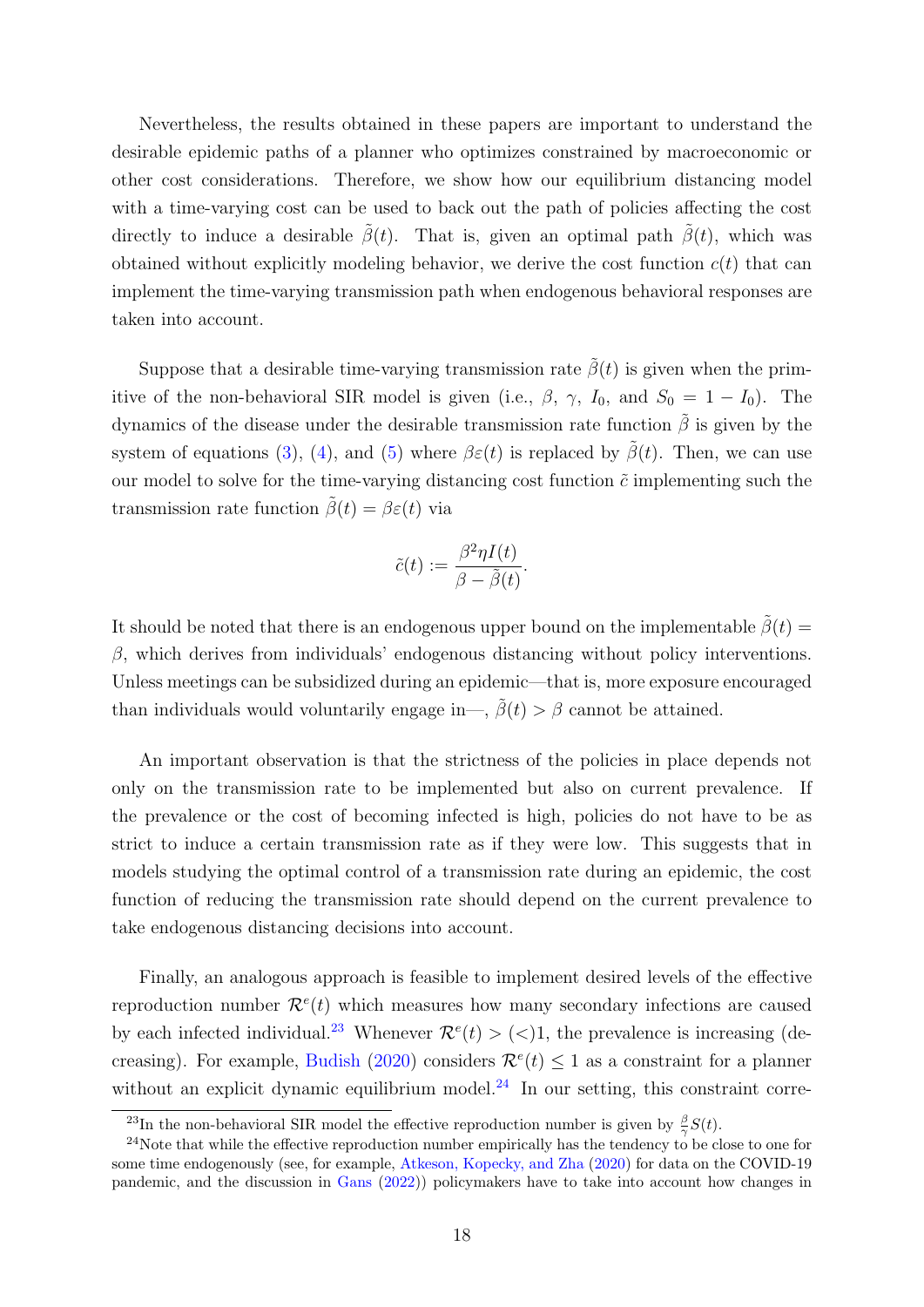Nevertheless, the results obtained in these papers are important to understand the desirable epidemic paths of a planner who optimizes constrained by macroeconomic or other cost considerations. Therefore, we show how our equilibrium distancing model with a time-varying cost can be used to back out the path of policies affecting the cost directly to induce a desirable  $\tilde{\beta}(t)$ . That is, given an optimal path  $\tilde{\beta}(t)$ , which was obtained without explicitly modeling behavior, we derive the cost function  $c(t)$  that can implement the time-varying transmission path when endogenous behavioral responses are taken into account.

Suppose that a desirable time-varying transmission rate  $\tilde{\beta}(t)$  is given when the primitive of the non-behavioral SIR model is given (i.e.,  $\beta$ ,  $\gamma$ ,  $I_0$ , and  $S_0 = 1 - I_0$ ). The dynamics of the disease under the desirable transmission rate function  $\tilde{\beta}$  is given by the system of equations [\(3\)](#page-5-3), [\(4\)](#page-5-4), and [\(5\)](#page-5-5) where  $\beta \varepsilon(t)$  is replaced by  $\tilde{\beta}(t)$ . Then, we can use our model to solve for the time-varying distancing cost function  $\tilde{c}$  implementing such the transmission rate function  $\tilde{\beta}(t) = \beta \varepsilon(t)$  via

$$
\tilde{c}(t) := \frac{\beta^2 \eta I(t)}{\beta - \tilde{\beta}(t)}.
$$

It should be noted that there is an endogenous upper bound on the implementable  $\tilde{\beta}(t)$  =  $β$ , which derives from individuals' endogenous distancing without policy interventions. Unless meetings can be subsidized during an epidemic—that is, more exposure encouraged than individuals would voluntarily engage in—,  $\tilde{\beta}(t) > \beta$  cannot be attained.

An important observation is that the strictness of the policies in place depends not only on the transmission rate to be implemented but also on current prevalence. If the prevalence or the cost of becoming infected is high, policies do not have to be as strict to induce a certain transmission rate as if they were low. This suggests that in models studying the optimal control of a transmission rate during an epidemic, the cost function of reducing the transmission rate should depend on the current prevalence to take endogenous distancing decisions into account.

Finally, an analogous approach is feasible to implement desired levels of the effective reproduction number  $\mathcal{R}^e(t)$  which measures how many secondary infections are caused by each infected individual.<sup>[23](#page-18-0)</sup> Whenever  $\mathcal{R}^e(t) > \langle 0 \rangle$ , the prevalence is increasing (de-creasing). For example, [Budish](#page-19-10) [\(2020\)](#page-19-10) considers  $\mathcal{R}^e(t) \leq 1$  as a constraint for a planner without an explicit dynamic equilibrium model.<sup>[24](#page-18-1)</sup> In our setting, this constraint corre-

<span id="page-18-1"></span><span id="page-18-0"></span><sup>&</sup>lt;sup>23</sup>In the non-behavioral SIR model the effective reproduction number is given by  $\frac{\beta}{\gamma}S(t)$ .

<sup>&</sup>lt;sup>24</sup>Note that while the effective reproduction number empirically has the tendency to be close to one for some time endogenously (see, for example, [Atkeson, Kopecky, and Zha](#page-19-7) [\(2020\)](#page-19-7) for data on the COVID-19 pandemic, and the discussion in [Gans](#page-20-11) [\(2022\)](#page-20-11)) policymakers have to take into account how changes in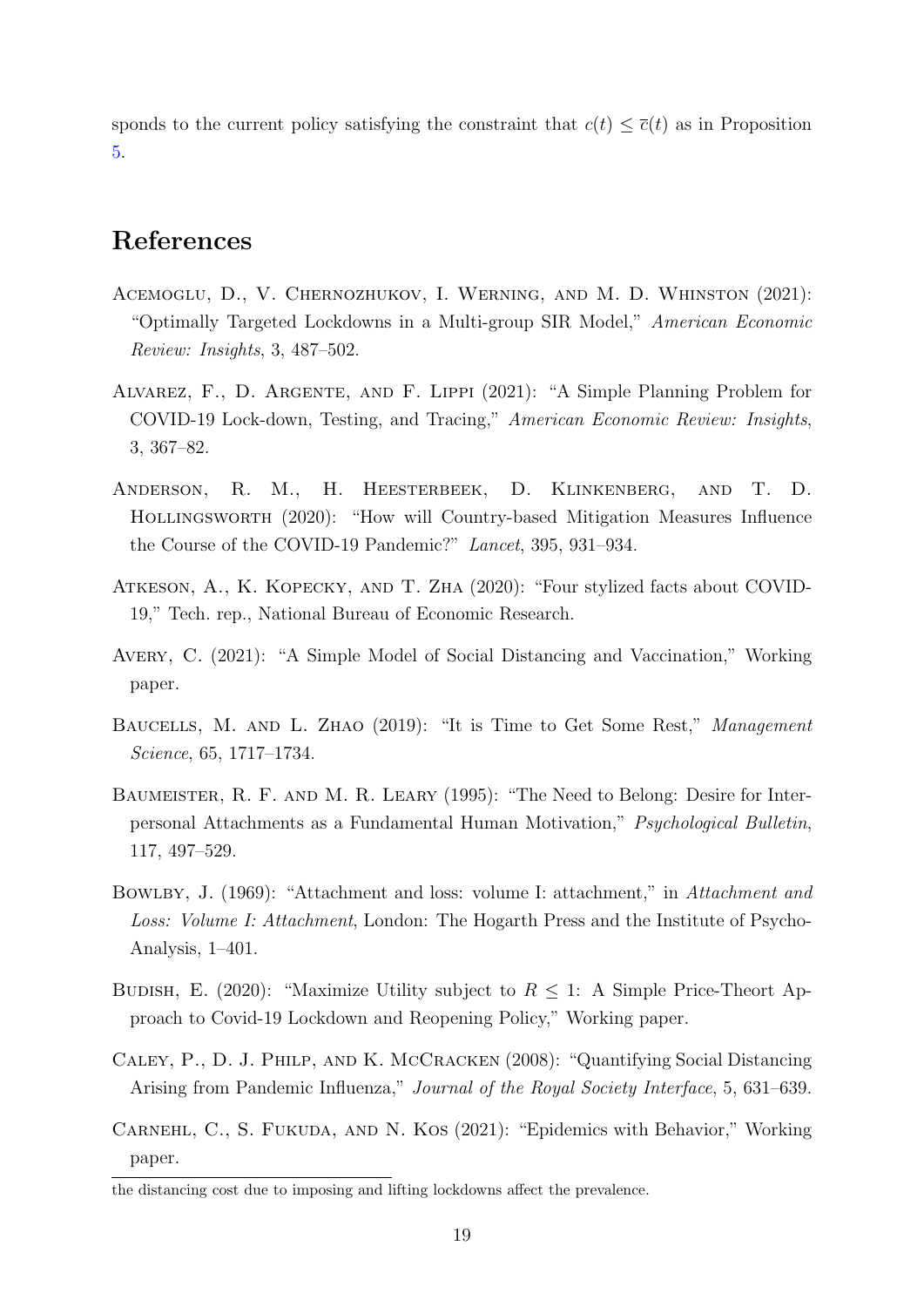sponds to the current policy satisfying the constraint that  $c(t) \leq \overline{c}(t)$  as in Proposition [5.](#page-13-1)

### References

- <span id="page-19-5"></span>Acemoglu, D., V. Chernozhukov, I. Werning, and M. D. Whinston (2021): "Optimally Targeted Lockdowns in a Multi-group SIR Model," American Economic Review: Insights, 3, 487–502.
- <span id="page-19-6"></span>Alvarez, F., D. Argente, and F. Lippi (2021): "A Simple Planning Problem for COVID-19 Lock-down, Testing, and Tracing," American Economic Review: Insights, 3, 367–82.
- <span id="page-19-9"></span>Anderson, R. M., H. Heesterbeek, D. Klinkenberg, and T. D. Hollingsworth (2020): "How will Country-based Mitigation Measures Influence the Course of the COVID-19 Pandemic?" Lancet, 395, 931–934.
- <span id="page-19-7"></span>Atkeson, A., K. Kopecky, and T. Zha (2020): "Four stylized facts about COVID-19," Tech. rep., National Bureau of Economic Research.
- <span id="page-19-2"></span>Avery, C. (2021): "A Simple Model of Social Distancing and Vaccination," Working paper.
- <span id="page-19-4"></span>BAUCELLS, M. AND L. ZHAO (2019): "It is Time to Get Some Rest," Management Science, 65, 1717–1734.
- <span id="page-19-1"></span>Baumeister, R. F. and M. R. Leary (1995): "The Need to Belong: Desire for Interpersonal Attachments as a Fundamental Human Motivation," Psychological Bulletin, 117, 497–529.
- <span id="page-19-0"></span>Bowlby, J. (1969): "Attachment and loss: volume I: attachment," in Attachment and Loss: Volume I: Attachment, London: The Hogarth Press and the Institute of Psycho-Analysis, 1–401.
- <span id="page-19-10"></span>BUDISH, E. (2020): "Maximize Utility subject to  $R \leq 1$ : A Simple Price-Theort Approach to Covid-19 Lockdown and Reopening Policy," Working paper.
- <span id="page-19-8"></span>Caley, P., D. J. Philp, and K. McCracken (2008): "Quantifying Social Distancing Arising from Pandemic Influenza," Journal of the Royal Society Interface, 5, 631–639.
- <span id="page-19-3"></span>Carnehl, C., S. Fukuda, and N. Kos (2021): "Epidemics with Behavior," Working paper.

the distancing cost due to imposing and lifting lockdowns affect the prevalence.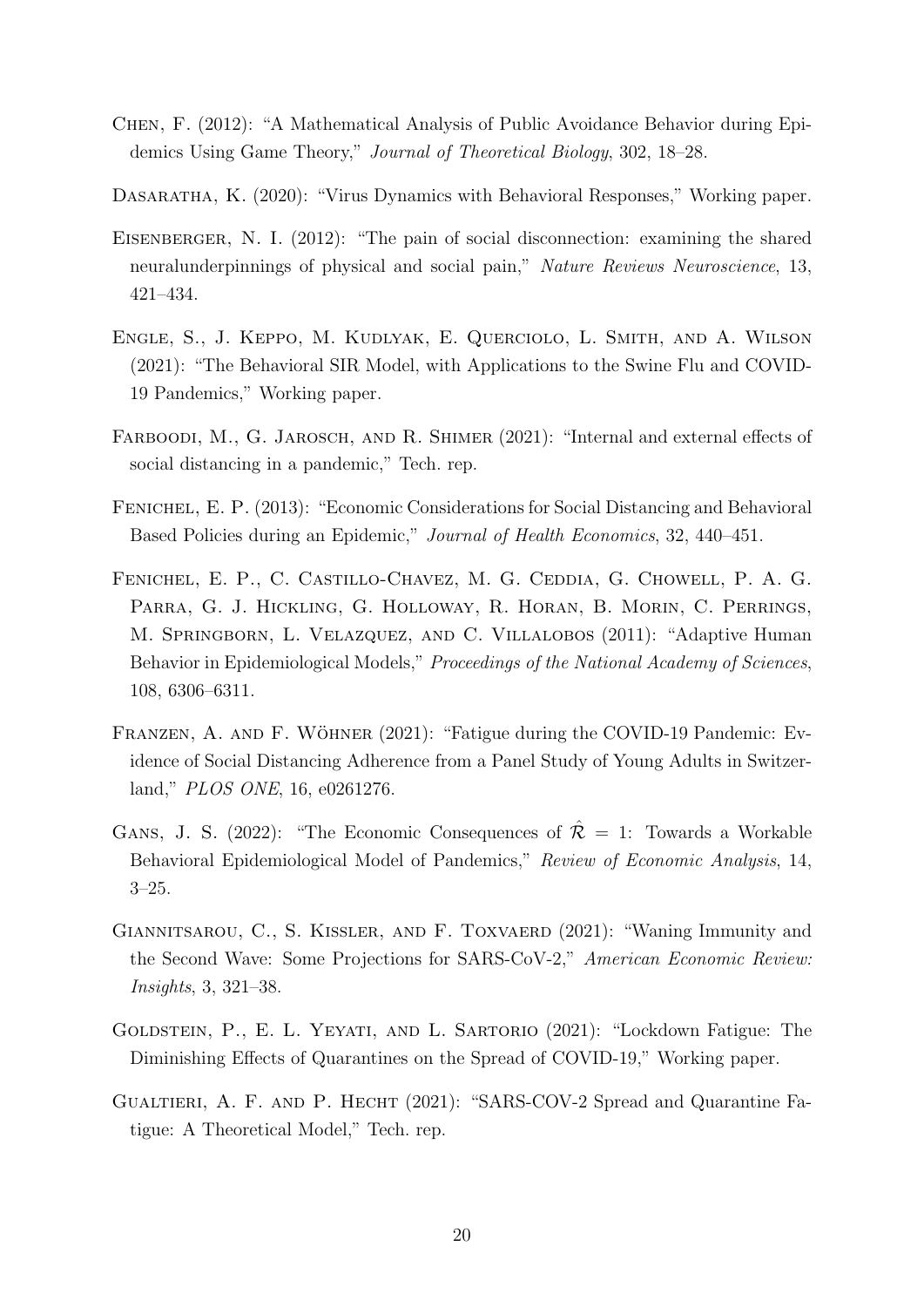- <span id="page-20-6"></span>Chen, F. (2012): "A Mathematical Analysis of Public Avoidance Behavior during Epidemics Using Game Theory," Journal of Theoretical Biology, 302, 18–28.
- <span id="page-20-2"></span>Dasaratha, K. (2020): "Virus Dynamics with Behavioral Responses," Working paper.
- <span id="page-20-1"></span>EISENBERGER, N. I. (2012): "The pain of social disconnection: examining the shared neuralunderpinnings of physical and social pain," Nature Reviews Neuroscience, 13, 421–434.
- <span id="page-20-8"></span>Engle, S., J. Keppo, M. Kudlyak, E. Querciolo, L. Smith, and A. Wilson (2021): "The Behavioral SIR Model, with Applications to the Swine Flu and COVID-19 Pandemics," Working paper.
- <span id="page-20-4"></span>FARBOODI, M., G. JAROSCH, AND R. SHIMER (2021): "Internal and external effects of social distancing in a pandemic," Tech. rep.
- <span id="page-20-7"></span>Fenichel, E. P. (2013): "Economic Considerations for Social Distancing and Behavioral Based Policies during an Epidemic," Journal of Health Economics, 32, 440–451.
- <span id="page-20-5"></span>Fenichel, E. P., C. Castillo-Chavez, M. G. Ceddia, G. Chowell, P. A. G. Parra, G. J. Hickling, G. Holloway, R. Horan, B. Morin, C. Perrings, M. Springborn, L. Velazquez, and C. Villalobos (2011): "Adaptive Human Behavior in Epidemiological Models," Proceedings of the National Academy of Sciences, 108, 6306–6311.
- <span id="page-20-0"></span>FRANZEN, A. AND F. WÖHNER  $(2021)$ : "Fatigue during the COVID-19 Pandemic: Evidence of Social Distancing Adherence from a Panel Study of Young Adults in Switzerland," PLOS ONE, 16, e0261276.
- <span id="page-20-11"></span>GANS, J. S. (2022): "The Economic Consequences of  $\mathcal{R} = 1$ : Towards a Workable Behavioral Epidemiological Model of Pandemics," Review of Economic Analysis, 14, 3–25.
- <span id="page-20-10"></span>GIANNITSAROU, C., S. KISSLER, AND F. TOXVAERD (2021): "Waning Immunity and the Second Wave: Some Projections for SARS-CoV-2," American Economic Review: Insights, 3, 321–38.
- <span id="page-20-3"></span>GOLDSTEIN, P., E. L. YEYATI, AND L. SARTORIO (2021): "Lockdown Fatigue: The Diminishing Effects of Quarantines on the Spread of COVID-19," Working paper.
- <span id="page-20-9"></span>Gualtieri, A. F. and P. Hecht (2021): "SARS-COV-2 Spread and Quarantine Fatigue: A Theoretical Model," Tech. rep.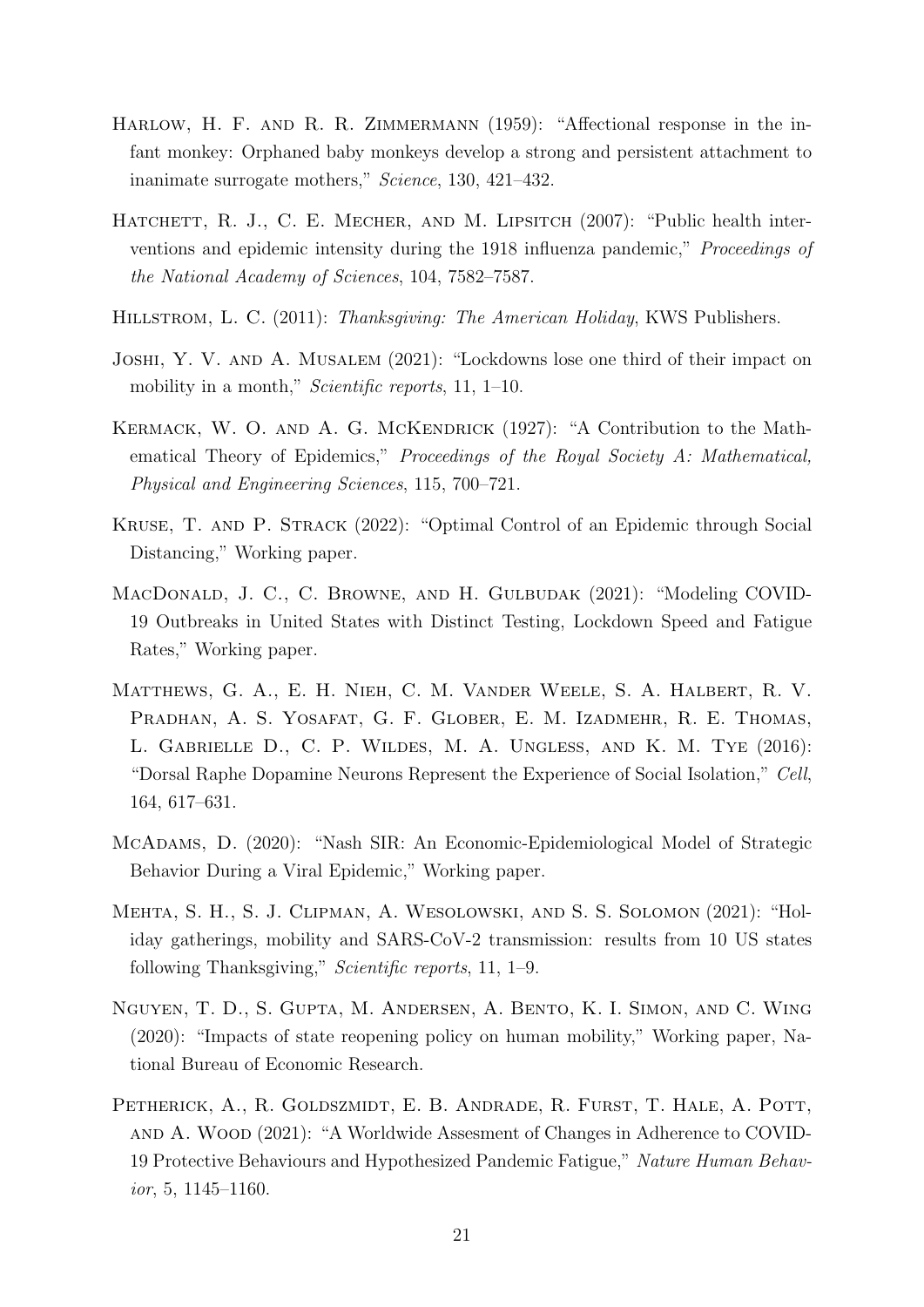- <span id="page-21-1"></span>HARLOW, H. F. AND R. R. ZIMMERMANN (1959): "Affectional response in the infant monkey: Orphaned baby monkeys develop a strong and persistent attachment to inanimate surrogate mothers," Science, 130, 421–432.
- <span id="page-21-10"></span>HATCHETT, R. J., C. E. MECHER, AND M. LIPSITCH (2007): "Public health interventions and epidemic intensity during the 1918 influenza pandemic," Proceedings of the National Academy of Sciences, 104, 7582–7587.
- <span id="page-21-2"></span>HILLSTROM, L. C. (2011): Thanksgiving: The American Holiday, KWS Publishers.
- <span id="page-21-8"></span>Joshi, Y. V. and A. Musalem (2021): "Lockdowns lose one third of their impact on mobility in a month," *Scientific reports*, 11, 1–10.
- <span id="page-21-5"></span>KERMACK, W. O. AND A. G. MCKENDRICK (1927): "A Contribution to the Mathematical Theory of Epidemics," Proceedings of the Royal Society A: Mathematical, Physical and Engineering Sciences, 115, 700–721.
- <span id="page-21-4"></span>Kruse, T. and P. Strack (2022): "Optimal Control of an Epidemic through Social Distancing," Working paper.
- <span id="page-21-7"></span>MacDonald, J. C., C. Browne, and H. Gulbudak (2021): "Modeling COVID-19 Outbreaks in United States with Distinct Testing, Lockdown Speed and Fatigue Rates," Working paper.
- <span id="page-21-3"></span>Matthews, G. A., E. H. Nieh, C. M. Vander Weele, S. A. Halbert, R. V. PRADHAN, A. S. YOSAFAT, G. F. GLOBER, E. M. IZADMEHR, R. E. THOMAS, L. Gabrielle D., C. P. Wildes, M. A. Ungless, and K. M. Tye (2016): "Dorsal Raphe Dopamine Neurons Represent the Experience of Social Isolation," Cell, 164, 617–631.
- <span id="page-21-6"></span>McAdams, D. (2020): "Nash SIR: An Economic-Epidemiological Model of Strategic Behavior During a Viral Epidemic," Working paper.
- <span id="page-21-9"></span>Mehta, S. H., S. J. Clipman, A. Wesolowski, and S. S. Solomon (2021): "Holiday gatherings, mobility and SARS-CoV-2 transmission: results from 10 US states following Thanksgiving," Scientific reports, 11, 1–9.
- <span id="page-21-11"></span>Nguyen, T. D., S. Gupta, M. Andersen, A. Bento, K. I. Simon, and C. Wing (2020): "Impacts of state reopening policy on human mobility," Working paper, National Bureau of Economic Research.
- <span id="page-21-0"></span>PETHERICK, A., R. GOLDSZMIDT, E. B. ANDRADE, R. FURST, T. HALE, A. POTT, and A. Wood (2021): "A Worldwide Assesment of Changes in Adherence to COVID-19 Protective Behaviours and Hypothesized Pandemic Fatigue," Nature Human Behavior, 5, 1145–1160.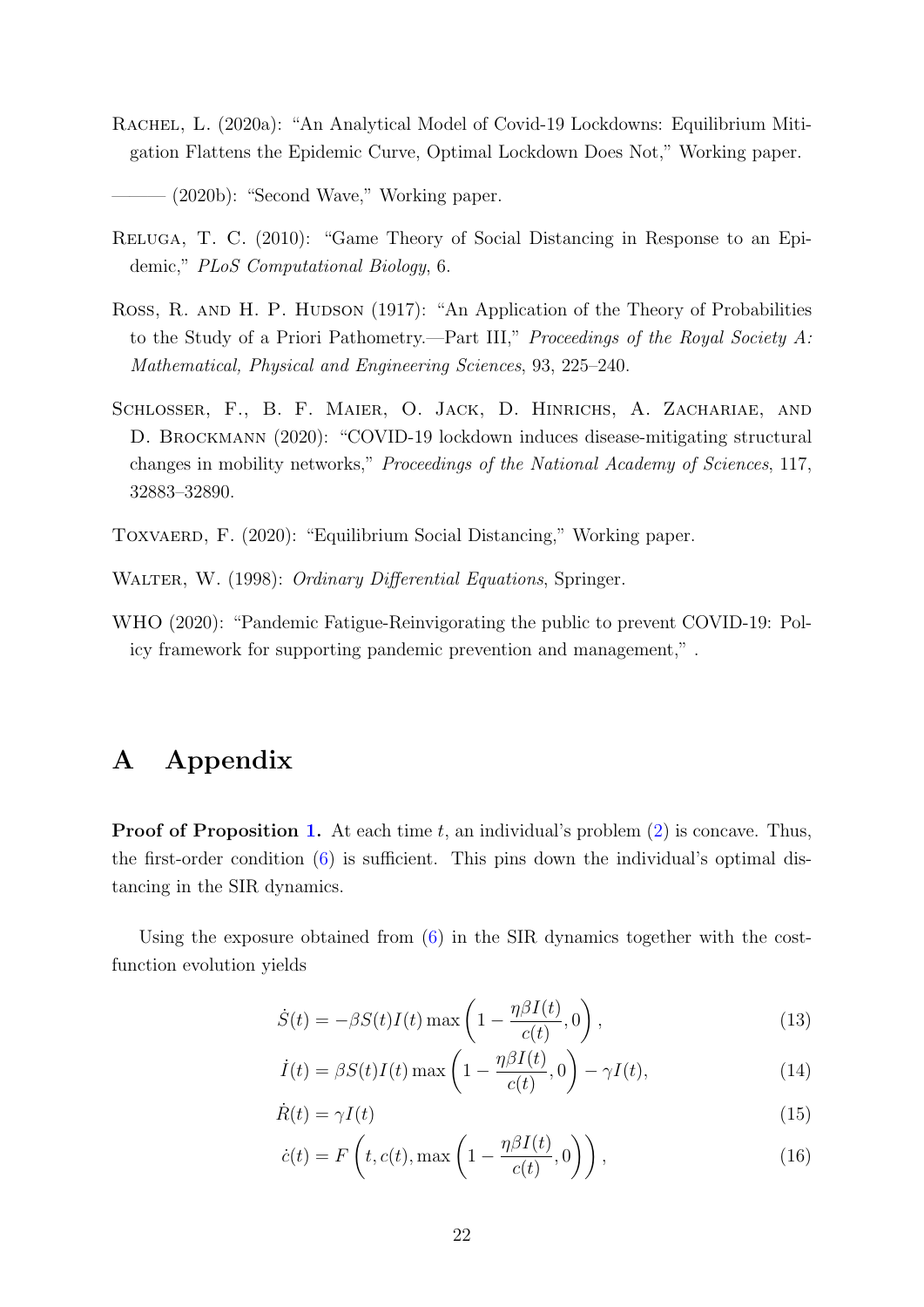- <span id="page-22-3"></span>RACHEL, L. (2020a): "An Analytical Model of Covid-19 Lockdowns: Equilibrium Mitigation Flattens the Epidemic Curve, Optimal Lockdown Does Not," Working paper.
- <span id="page-22-5"></span> $-$  (2020b): "Second Wave," Working paper.
- <span id="page-22-2"></span>Reluga, T. C. (2010): "Game Theory of Social Distancing in Response to an Epidemic," PLoS Computational Biology, 6.
- <span id="page-22-1"></span>Ross, R. AND H. P. HUDSON (1917): "An Application of the Theory of Probabilities to the Study of a Priori Pathometry.—Part III," Proceedings of the Royal Society A: Mathematical, Physical and Engineering Sciences, 93, 225–240.
- <span id="page-22-6"></span>SCHLOSSER, F., B. F. MAIER, O. JACK, D. HINRICHS, A. ZACHARIAE, AND D. Brockmann (2020): "COVID-19 lockdown induces disease-mitigating structural changes in mobility networks," Proceedings of the National Academy of Sciences, 117, 32883–32890.
- <span id="page-22-4"></span>Toxvaerd, F. (2020): "Equilibrium Social Distancing," Working paper.
- <span id="page-22-11"></span>WALTER, W. (1998): *Ordinary Differential Equations*, Springer.
- <span id="page-22-0"></span>WHO (2020): "Pandemic Fatigue-Reinvigorating the public to prevent COVID-19: Policy framework for supporting pandemic prevention and management," .

## A Appendix

**Proof of Proposition [1.](#page-6-4)** At each time t, an individual's problem  $(2)$  is concave. Thus, the first-order condition [\(6\)](#page-6-1) is sufficient. This pins down the individual's optimal distancing in the SIR dynamics.

Using the exposure obtained from [\(6\)](#page-6-1) in the SIR dynamics together with the costfunction evolution yields

<span id="page-22-7"></span>
$$
\dot{S}(t) = -\beta S(t)I(t) \max\left(1 - \frac{\eta \beta I(t)}{c(t)}, 0\right),\tag{13}
$$

<span id="page-22-9"></span><span id="page-22-8"></span>
$$
\dot{I}(t) = \beta S(t)I(t) \max\left(1 - \frac{\eta \beta I(t)}{c(t)}, 0\right) - \gamma I(t),\tag{14}
$$

$$
\dot{R}(t) = \gamma I(t) \tag{15}
$$

<span id="page-22-10"></span>
$$
\dot{c}(t) = F\left(t, c(t), \max\left(1 - \frac{\eta \beta I(t)}{c(t)}, 0\right)\right),\tag{16}
$$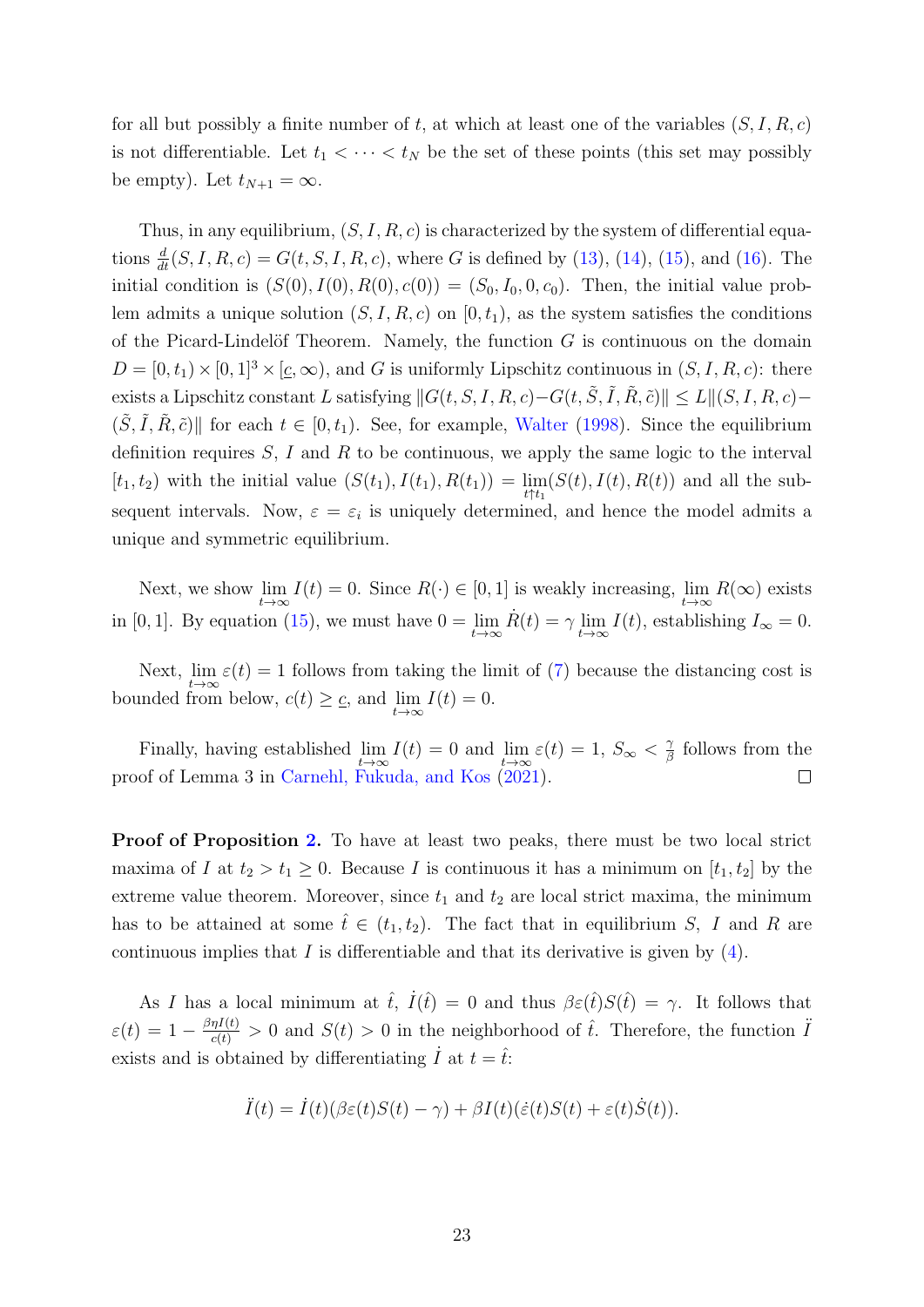for all but possibly a finite number of t, at which at least one of the variables  $(S, I, R, c)$ is not differentiable. Let  $t_1 < \cdots < t_N$  be the set of these points (this set may possibly be empty). Let  $t_{N+1} = \infty$ .

Thus, in any equilibrium,  $(S, I, R, c)$  is characterized by the system of differential equations  $\frac{d}{dt}(S, I, R, c) = G(t, S, I, R, c)$ , where G is defined by [\(13\)](#page-22-7), [\(14\)](#page-22-8), [\(15\)](#page-22-9), and [\(16\)](#page-22-10). The initial condition is  $(S(0), I(0), R(0), c(0)) = (S_0, I_0, 0, c_0)$ . Then, the initial value problem admits a unique solution  $(S, I, R, c)$  on  $[0, t_1)$ , as the system satisfies the conditions of the Picard-Lindelöf Theorem. Namely, the function  $G$  is continuous on the domain  $D = [0, t_1) \times [0, 1]^3 \times [c, \infty)$ , and G is uniformly Lipschitz continuous in  $(S, I, R, c)$ : there exists a Lipschitz constant L satisfying  $||G(t, S, I, R, c)-G(t, \tilde{S}, \tilde{I}, \tilde{R}, \tilde{c})|| \le L||(S, I, R, c) (\tilde{S}, \tilde{I}, \tilde{R}, \tilde{c})$  for each  $t \in [0, t_1)$ . See, for example, [Walter](#page-22-11) [\(1998\)](#page-22-11). Since the equilibrium definition requires  $S, I$  and R to be continuous, we apply the same logic to the interval  $[t_1, t_2)$  with the initial value  $(S(t_1), I(t_1), R(t_1)) = \lim_{t \uparrow t_1} (S(t), I(t), R(t))$  and all the subsequent intervals. Now,  $\varepsilon = \varepsilon_i$  is uniquely determined, and hence the model admits a unique and symmetric equilibrium.

Next, we show  $\lim_{t\to\infty} I(t) = 0$ . Since  $R(\cdot) \in [0,1]$  is weakly increasing,  $\lim_{t\to\infty} R(\infty)$  exists in [0, 1]. By equation [\(15\)](#page-22-9), we must have  $0 = \lim_{t \to \infty} \dot{R}(t) = \gamma \lim_{t \to \infty} I(t)$ , establishing  $I_{\infty} = 0$ .

Next,  $\lim_{t\to\infty} \varepsilon(t) = 1$  follows from taking the limit of [\(7\)](#page-6-2) because the distancing cost is bounded from below,  $c(t) \geq \underline{c}$ , and  $\lim_{t \to \infty} I(t) = 0$ .

Finally, having established  $\lim_{t\to\infty} I(t) = 0$  and  $\lim_{t\to\infty} \varepsilon(t) = 1, S_{\infty} < \frac{2}{\beta}$  $\frac{\gamma}{\beta}$  follows from the proof of Lemma 3 in [Carnehl, Fukuda, and Kos](#page-19-3) [\(2021\)](#page-19-3).

Proof of Proposition [2.](#page-7-1) To have at least two peaks, there must be two local strict maxima of I at  $t_2 > t_1 \geq 0$ . Because I is continuous it has a minimum on  $[t_1, t_2]$  by the extreme value theorem. Moreover, since  $t_1$  and  $t_2$  are local strict maxima, the minimum has to be attained at some  $\hat{t} \in (t_1, t_2)$ . The fact that in equilibrium S, I and R are continuous implies that I is differentiable and that its derivative is given by  $(4)$ .

As I has a local minimum at  $\hat{t}$ ,  $\dot{I}(\hat{t}) = 0$  and thus  $\beta \varepsilon(\hat{t}) S(\hat{t}) = \gamma$ . It follows that  $\varepsilon(t) = 1 - \frac{\beta \eta I(t)}{c(t)} > 0$  and  $S(t) > 0$  in the neighborhood of  $\hat{t}$ . Therefore, the function  $\ddot{I}$ exists and is obtained by differentiating  $I$  at  $t = \hat{t}$ .

$$
\ddot{I}(t) = \dot{I}(t)(\beta \varepsilon(t)S(t) - \gamma) + \beta I(t)(\dot{\varepsilon}(t)S(t) + \varepsilon(t)\dot{S}(t)).
$$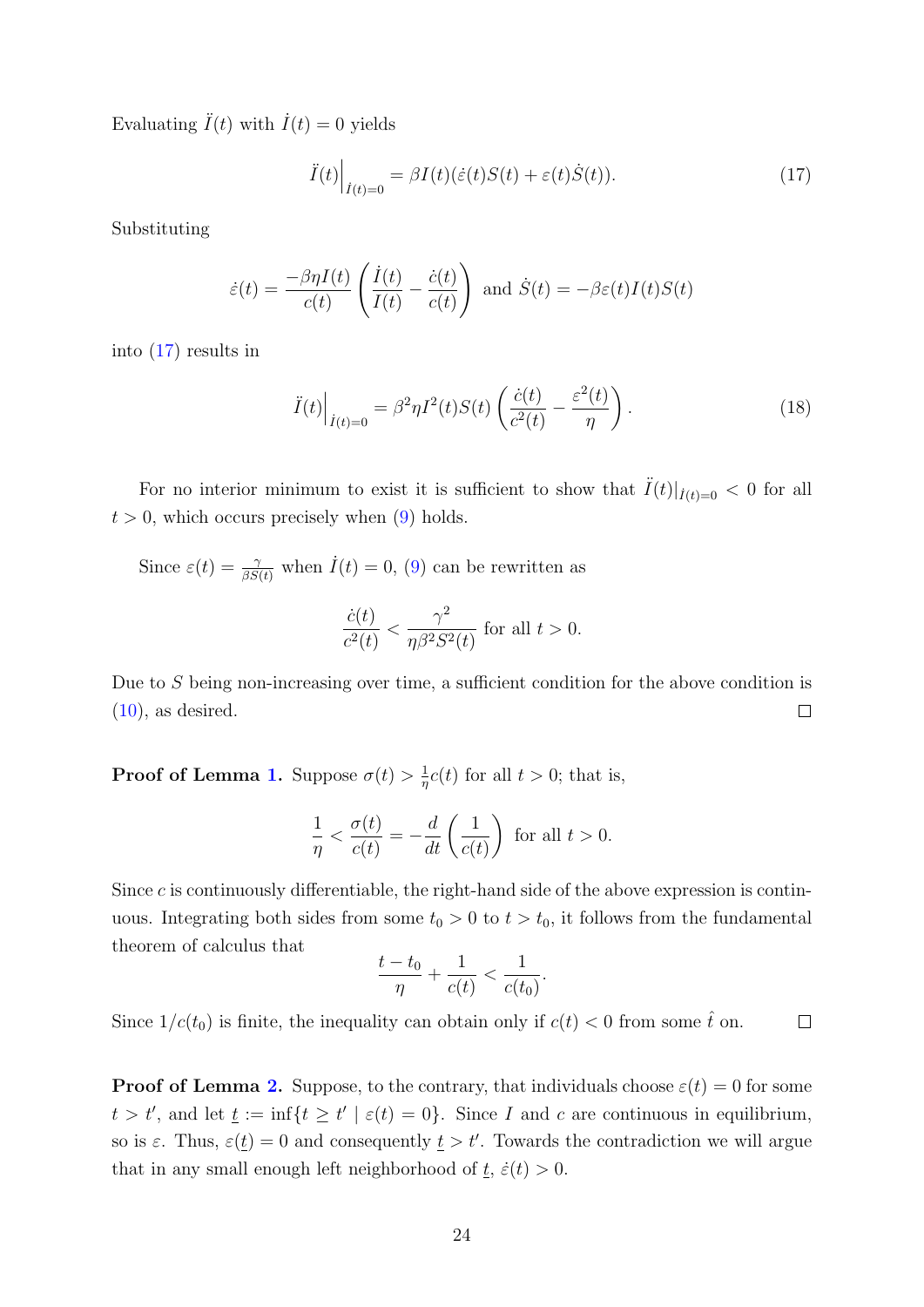Evaluating  $\ddot{I}(t)$  with  $\dot{I}(t) = 0$  yields

<span id="page-24-0"></span>
$$
\ddot{I}(t)\Big|_{\dot{I}(t)=0} = \beta I(t)(\dot{\varepsilon}(t)S(t) + \varepsilon(t)\dot{S}(t)).\tag{17}
$$

Substituting

$$
\dot{\varepsilon}(t) = \frac{-\beta \eta I(t)}{c(t)} \left( \frac{\dot{I}(t)}{I(t)} - \frac{\dot{c}(t)}{c(t)} \right) \text{ and } \dot{S}(t) = -\beta \varepsilon(t)I(t)S(t)
$$

into [\(17\)](#page-24-0) results in

<span id="page-24-1"></span>
$$
\ddot{I}(t)\Big|_{\dot{I}(t)=0} = \beta^2 \eta I^2(t)S(t)\left(\frac{\dot{c}(t)}{c^2(t)} - \frac{\varepsilon^2(t)}{\eta}\right). \tag{18}
$$

For no interior minimum to exist it is sufficient to show that  $\ddot{I}(t)|_{\dot{I}(t)=0} < 0$  for all  $t > 0$ , which occurs precisely when  $(9)$  holds.

Since  $\varepsilon(t) = \frac{\gamma}{\beta S(t)}$  when  $\dot{I}(t) = 0$ , [\(9\)](#page-7-2) can be rewritten as

$$
\frac{\dot{c}(t)}{c^2(t)} < \frac{\gamma^2}{\eta \beta^2 S^2(t)} \text{ for all } t > 0.
$$

Due to S being non-increasing over time, a sufficient condition for the above condition is  $(10)$ , as desired.  $\Box$ 

**Proof of Lemma [1.](#page-8-1)** Suppose  $\sigma(t) > \frac{1}{n}$  $\frac{1}{\eta}c(t)$  for all  $t > 0$ ; that is,

$$
\frac{1}{\eta} < \frac{\sigma(t)}{c(t)} = -\frac{d}{dt}\left(\frac{1}{c(t)}\right) \text{ for all } t > 0.
$$

Since  $c$  is continuously differentiable, the right-hand side of the above expression is continuous. Integrating both sides from some  $t_0 > 0$  to  $t > t_0$ , it follows from the fundamental theorem of calculus that

$$
\frac{t - t_0}{\eta} + \frac{1}{c(t)} < \frac{1}{c(t_0)}
$$

.

Since  $1/c(t_0)$  is finite, the inequality can obtain only if  $c(t) < 0$  from some  $\hat{t}$  on.  $\Box$ 

**Proof of Lemma [2.](#page-10-2)** Suppose, to the contrary, that individuals choose  $\varepsilon(t) = 0$  for some  $t > t'$ , and let  $\underline{t} := \inf\{t \geq t' \mid \varepsilon(t) = 0\}$ . Since I and c are continuous in equilibrium, so is  $\varepsilon$ . Thus,  $\varepsilon(t) = 0$  and consequently  $t > t'$ . Towards the contradiction we will argue that in any small enough left neighborhood of  $\underline{t}$ ,  $\dot{\varepsilon}(t) > 0$ .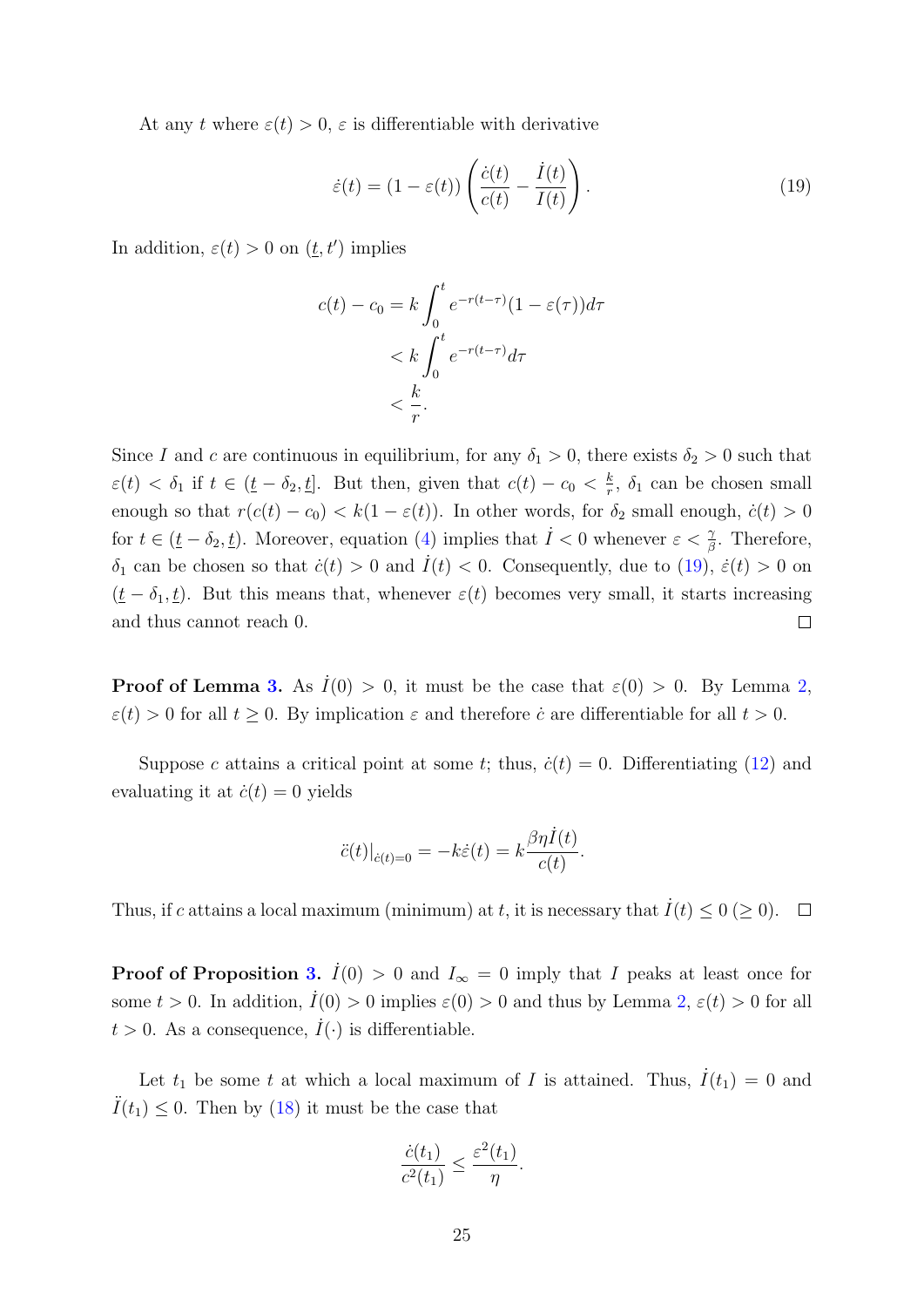At any t where  $\varepsilon(t) > 0$ ,  $\varepsilon$  is differentiable with derivative

<span id="page-25-0"></span>
$$
\dot{\varepsilon}(t) = (1 - \varepsilon(t)) \left( \frac{\dot{c}(t)}{c(t)} - \frac{\dot{I}(t)}{I(t)} \right).
$$
\n(19)

In addition,  $\varepsilon(t) > 0$  on  $(\underline{t}, t')$  implies

$$
c(t) - c_0 = k \int_0^t e^{-r(t-\tau)} (1 - \varepsilon(\tau)) d\tau
$$
  

$$
< k \int_0^t e^{-r(t-\tau)} d\tau
$$
  

$$
< \frac{k}{r}.
$$

Since I and c are continuous in equilibrium, for any  $\delta_1 > 0$ , there exists  $\delta_2 > 0$  such that  $\varepsilon(t) < \delta_1$  if  $t \in (\underline{t} - \delta_2, \underline{t}]$ . But then, given that  $c(t) - c_0 < \frac{k}{r}$  $\frac{k}{r}$ ,  $\delta_1$  can be chosen small enough so that  $r(c(t) - c_0) < k(1 - \varepsilon(t))$ . In other words, for  $\delta_2$  small enough,  $\dot{c}(t) > 0$ for  $t \in (\underline{t} - \delta_2, \underline{t})$ . Moreover, equation [\(4\)](#page-5-4) implies that  $\dot{I} < 0$  whenever  $\varepsilon < \frac{\gamma}{\beta}$ . Therefore,  $\delta_1$  can be chosen so that  $\dot{c}(t) > 0$  and  $\dot{I}(t) < 0$ . Consequently, due to [\(19\)](#page-25-0),  $\dot{\varepsilon}(t) > 0$  on  $(\underline{t} - \delta_1, \underline{t})$ . But this means that, whenever  $\varepsilon(t)$  becomes very small, it starts increasing and thus cannot reach 0.  $\Box$ 

**Proof of Lemma [3.](#page-11-2)** As  $I(0) > 0$ , it must be the case that  $\varepsilon(0) > 0$ . By Lemma [2,](#page-10-2)  $\varepsilon(t) > 0$  for all  $t \geq 0$ . By implication  $\varepsilon$  and therefore  $\dot{c}$  are differentiable for all  $t > 0$ .

Suppose c attains a critical point at some t; thus,  $\dot{c}(t) = 0$ . Differentiating [\(12\)](#page-10-3) and evaluating it at  $\dot{c}(t) = 0$  yields

$$
\ddot{c}(t)|_{\dot{c}(t)=0} = -k\dot{\varepsilon}(t) = k\frac{\beta\eta\dot{I}(t)}{c(t)}.
$$

Thus, if c attains a local maximum (minimum) at t, it is necessary that  $\dot{I}(t) \leq 0 \ (\geq 0)$ .  $\Box$ 

**Proof of Proposition [3.](#page-11-0)**  $\dot{I}(0) > 0$  and  $I_{\infty} = 0$  imply that I peaks at least once for some  $t > 0$ . In addition,  $\dot{I}(0) > 0$  implies  $\varepsilon(0) > 0$  and thus by Lemma [2,](#page-10-2)  $\varepsilon(t) > 0$  for all  $t > 0$ . As a consequence,  $\dot{I}(\cdot)$  is differentiable.

Let  $t_1$  be some t at which a local maximum of I is attained. Thus,  $I(t_1) = 0$  and  $I(t_1) \leq 0$ . Then by [\(18\)](#page-24-1) it must be the case that

$$
\frac{\dot{c}(t_1)}{c^2(t_1)} \le \frac{\varepsilon^2(t_1)}{\eta}.
$$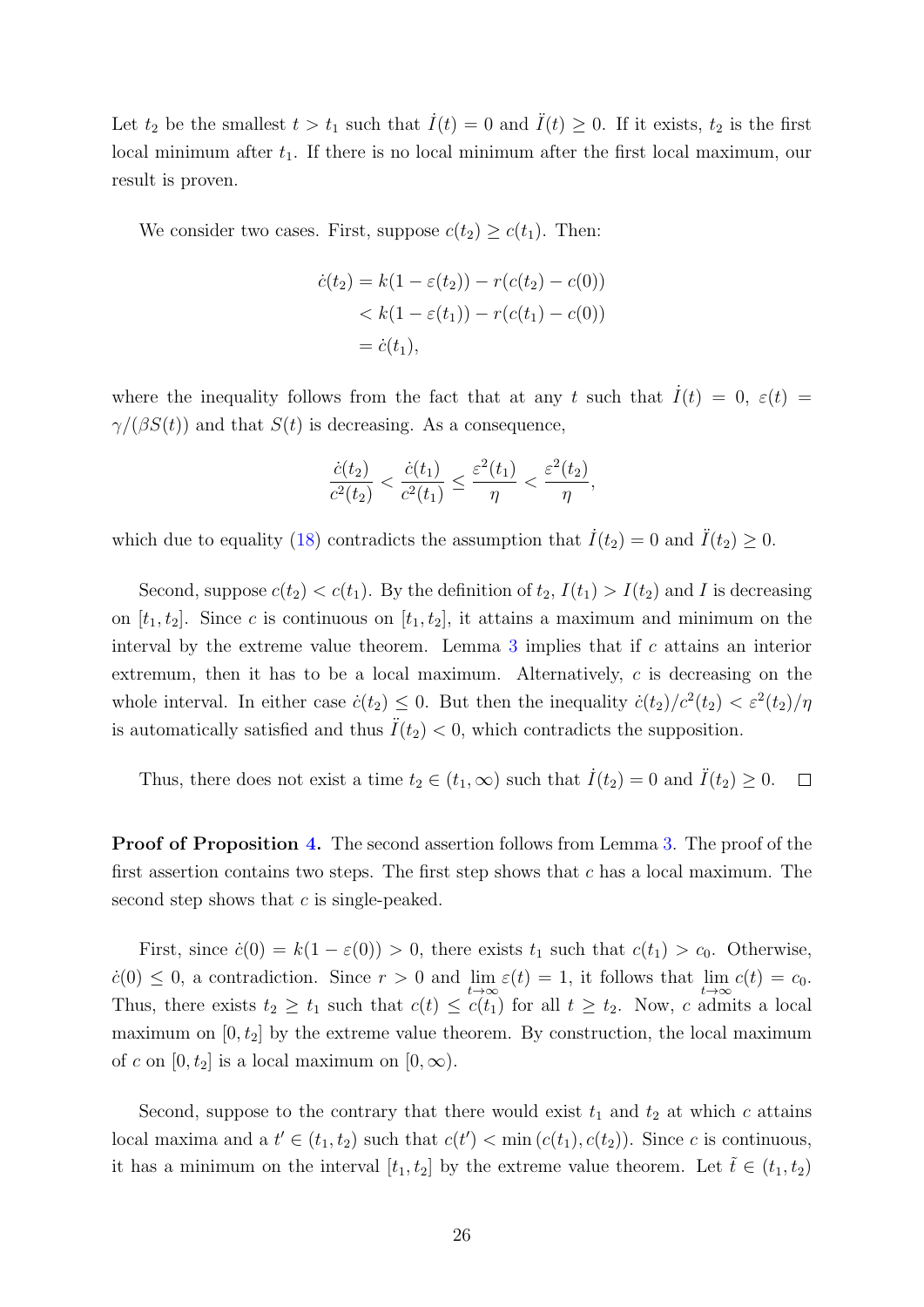Let  $t_2$  be the smallest  $t > t_1$  such that  $\dot{I}(t) = 0$  and  $\ddot{I}(t) \geq 0$ . If it exists,  $t_2$  is the first local minimum after  $t_1$ . If there is no local minimum after the first local maximum, our result is proven.

We consider two cases. First, suppose  $c(t_2) \geq c(t_1)$ . Then:

$$
\dot{c}(t_2) = k(1 - \varepsilon(t_2)) - r(c(t_2) - c(0))
$$
  
< 
$$
< k(1 - \varepsilon(t_1)) - r(c(t_1) - c(0))
$$
  

$$
= \dot{c}(t_1),
$$

where the inequality follows from the fact that at any t such that  $\dot{I}(t) = 0, \varepsilon(t) =$  $\gamma/(\beta S(t))$  and that  $S(t)$  is decreasing. As a consequence,

$$
\frac{\dot{c}(t_2)}{c^2(t_2)} < \frac{\dot{c}(t_1)}{c^2(t_1)} \le \frac{\varepsilon^2(t_1)}{\eta} < \frac{\varepsilon^2(t_2)}{\eta},
$$

which due to equality [\(18\)](#page-24-1) contradicts the assumption that  $\dot{I}(t_2) = 0$  and  $\ddot{I}(t_2) \geq 0$ .

Second, suppose  $c(t_2) < c(t_1)$ . By the definition of  $t_2$ ,  $I(t_1) > I(t_2)$  and I is decreasing on  $[t_1, t_2]$ . Since c is continuous on  $[t_1, t_2]$ , it attains a maximum and minimum on the interval by the extreme value theorem. Lemma  $3$  implies that if  $c$  attains an interior extremum, then it has to be a local maximum. Alternatively,  $c$  is decreasing on the whole interval. In either case  $\dot{c}(t_2) \leq 0$ . But then the inequality  $\dot{c}(t_2)/c^2(t_2) < \varepsilon^2(t_2)/\eta$ is automatically satisfied and thus  $\ddot{I}(t_2) < 0$ , which contradicts the supposition.

Thus, there does not exist a time  $t_2 \in (t_1, \infty)$  such that  $\dot{I}(t_2) = 0$  and  $\ddot{I}(t_2) \geq 0$ .  $\Box$ 

Proof of Proposition [4.](#page-11-1) The second assertion follows from Lemma [3.](#page-11-2) The proof of the first assertion contains two steps. The first step shows that  $c$  has a local maximum. The second step shows that  $c$  is single-peaked.

First, since  $\dot{c}(0) = k(1 - \varepsilon(0)) > 0$ , there exists  $t_1$  such that  $c(t_1) > c_0$ . Otherwise,  $\dot{c}(0) \leq 0$ , a contradiction. Since  $r > 0$  and  $\lim_{t \to \infty} \varepsilon(t) = 1$ , it follows that  $\lim_{t \to \infty} c(t) = c_0$ . Thus, there exists  $t_2 \geq t_1$  such that  $c(t) \leq c(t_1)$  for all  $t \geq t_2$ . Now, c admits a local maximum on  $[0, t_2]$  by the extreme value theorem. By construction, the local maximum of c on  $[0, t_2]$  is a local maximum on  $[0, \infty)$ .

Second, suppose to the contrary that there would exist  $t_1$  and  $t_2$  at which c attains local maxima and a  $t' \in (t_1, t_2)$  such that  $c(t') < \min(c(t_1), c(t_2))$ . Since c is continuous, it has a minimum on the interval  $[t_1, t_2]$  by the extreme value theorem. Let  $\tilde{t} \in (t_1, t_2)$